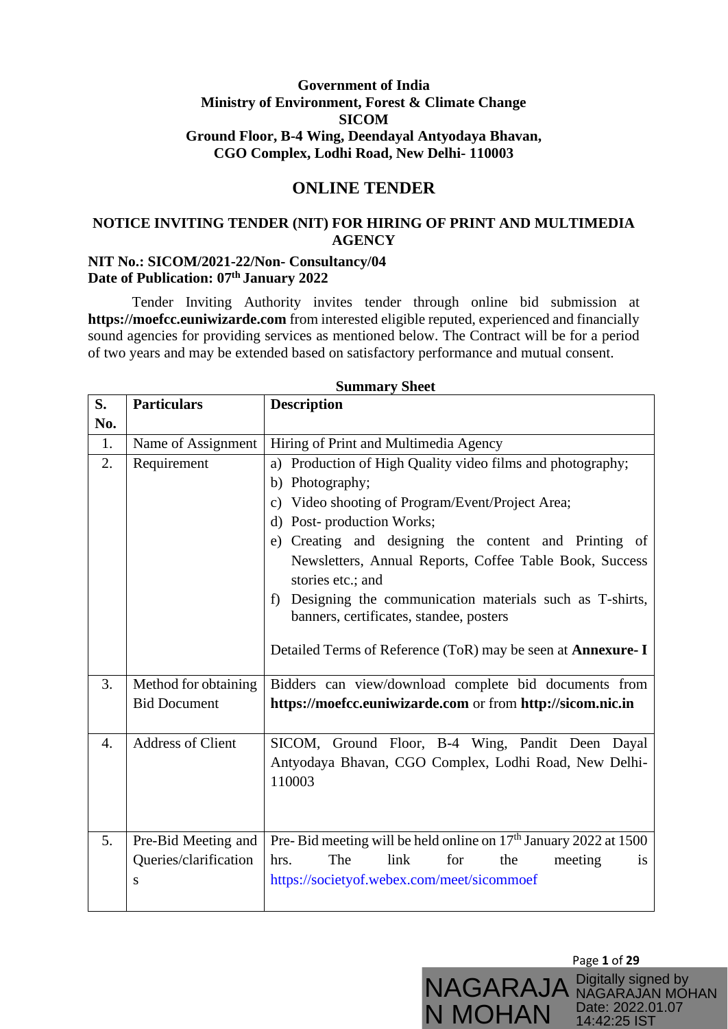## **Government of India Ministry of Environment, Forest & Climate Change SICOM Ground Floor, B-4 Wing, Deendayal Antyodaya Bhavan, CGO Complex, Lodhi Road, New Delhi- 110003**

# **ONLINE TENDER**

# **NOTICE INVITING TENDER (NIT) FOR HIRING OF PRINT AND MULTIMEDIA AGENCY**

### **NIT No.: SICOM/2021-22/Non- Consultancy/04 Date of Publication: 07th January 2022**

Tender Inviting Authority invites tender through online bid submission at **https://moefcc.euniwizarde.com** from interested eligible reputed, experienced and financially sound agencies for providing services as mentioned below. The Contract will be for a period of two years and may be extended based on satisfactory performance and mutual consent.

| S.               | <b>Particulars</b>                                | <b>Description</b>                                                                                                                                                                                                                                                                                                                                                                                                                                                                                            |  |  |  |  |  |  |
|------------------|---------------------------------------------------|---------------------------------------------------------------------------------------------------------------------------------------------------------------------------------------------------------------------------------------------------------------------------------------------------------------------------------------------------------------------------------------------------------------------------------------------------------------------------------------------------------------|--|--|--|--|--|--|
| No.              |                                                   |                                                                                                                                                                                                                                                                                                                                                                                                                                                                                                               |  |  |  |  |  |  |
| 1.               | Name of Assignment                                | Hiring of Print and Multimedia Agency                                                                                                                                                                                                                                                                                                                                                                                                                                                                         |  |  |  |  |  |  |
| 2.               | Requirement                                       | a) Production of High Quality video films and photography;<br>b) Photography;<br>Video shooting of Program/Event/Project Area;<br>$\mathbf{c})$<br>Post-production Works;<br>d)<br>Creating and designing the content and Printing of<br>e)<br>Newsletters, Annual Reports, Coffee Table Book, Success<br>stories etc.; and<br>Designing the communication materials such as T-shirts,<br>f)<br>banners, certificates, standee, posters<br>Detailed Terms of Reference (ToR) may be seen at <b>Annexure-I</b> |  |  |  |  |  |  |
| 3.               | Method for obtaining<br><b>Bid Document</b>       | Bidders can view/download complete bid documents from<br>https://moefcc.euniwizarde.com or from http://sicom.nic.in                                                                                                                                                                                                                                                                                                                                                                                           |  |  |  |  |  |  |
| $\overline{4}$ . | <b>Address of Client</b>                          | SICOM, Ground Floor, B-4 Wing, Pandit Deen Dayal<br>Antyodaya Bhavan, CGO Complex, Lodhi Road, New Delhi-<br>110003                                                                                                                                                                                                                                                                                                                                                                                           |  |  |  |  |  |  |
| 5.               | Pre-Bid Meeting and<br>Queries/clarification<br>S | Pre-Bid meeting will be held online on 17 <sup>th</sup> January 2022 at 1500<br>The<br>link<br>for<br>hrs.<br>the<br>meeting<br><i>is</i><br>https://societyof.webex.com/meet/sicommoef                                                                                                                                                                                                                                                                                                                       |  |  |  |  |  |  |

#### **Summary Sheet**

Page **1** of **29**

NAGARAJAN MOHAN Date: 2022.01.07 14:42:25 IST

NAGARAJA Digitally signed by

N MOHAN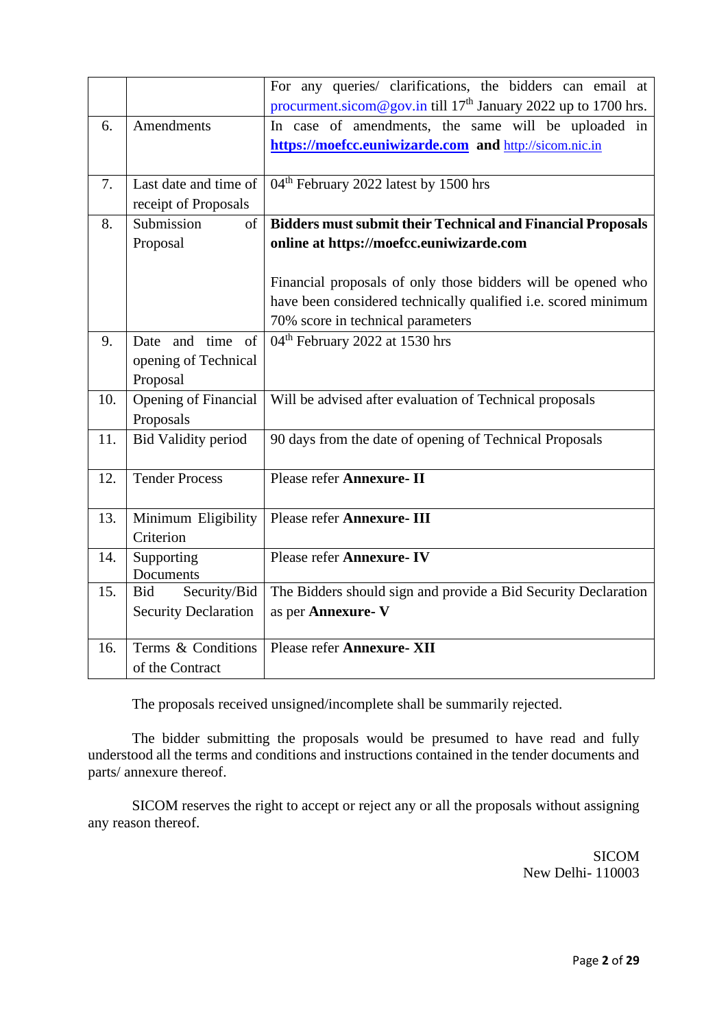|     |                                                           | For any queries/ clarifications, the bidders can email at<br>procurment.sicom@gov.in till 17 <sup>th</sup> January 2022 up to 1700 hrs.                                                                                                                                               |
|-----|-----------------------------------------------------------|---------------------------------------------------------------------------------------------------------------------------------------------------------------------------------------------------------------------------------------------------------------------------------------|
| 6.  | Amendments                                                | In case of amendments, the same will be uploaded in<br>https://moefcc.euniwizarde.com and http://sicom.nic.in                                                                                                                                                                         |
| 7.  | Last date and time of<br>receipt of Proposals             | 04 <sup>th</sup> February 2022 latest by 1500 hrs                                                                                                                                                                                                                                     |
| 8.  | Submission<br><sub>of</sub><br>Proposal                   | <b>Bidders must submit their Technical and Financial Proposals</b><br>online at https://moefcc.euniwizarde.com<br>Financial proposals of only those bidders will be opened who<br>have been considered technically qualified i.e. scored minimum<br>70% score in technical parameters |
| 9.  | Date and time of<br>opening of Technical<br>Proposal      | 04 <sup>th</sup> February 2022 at 1530 hrs                                                                                                                                                                                                                                            |
| 10. | <b>Opening of Financial</b><br>Proposals                  | Will be advised after evaluation of Technical proposals                                                                                                                                                                                                                               |
| 11. | <b>Bid Validity period</b>                                | 90 days from the date of opening of Technical Proposals                                                                                                                                                                                                                               |
| 12. | <b>Tender Process</b>                                     | Please refer Annexure- II                                                                                                                                                                                                                                                             |
| 13. | Minimum Eligibility<br>Criterion                          | Please refer Annexure- III                                                                                                                                                                                                                                                            |
| 14. | Supporting<br>Documents                                   | Please refer Annexure-IV                                                                                                                                                                                                                                                              |
| 15. | Security/Bid<br><b>Bid</b><br><b>Security Declaration</b> | The Bidders should sign and provide a Bid Security Declaration<br>as per Annexure-V                                                                                                                                                                                                   |
| 16. | Terms & Conditions<br>of the Contract                     | Please refer Annexure- XII                                                                                                                                                                                                                                                            |

The proposals received unsigned/incomplete shall be summarily rejected.

The bidder submitting the proposals would be presumed to have read and fully understood all the terms and conditions and instructions contained in the tender documents and parts/ annexure thereof.

SICOM reserves the right to accept or reject any or all the proposals without assigning any reason thereof.

> SICOM New Delhi- 110003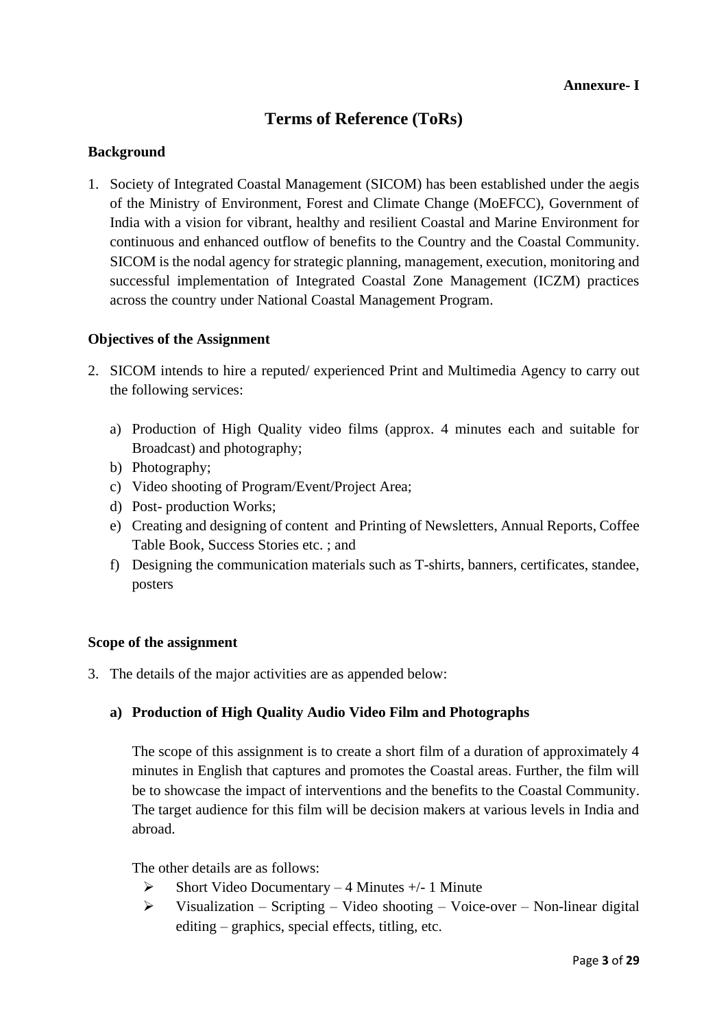# **Terms of Reference (ToRs)**

## **Background**

1. Society of Integrated Coastal Management (SICOM) has been established under the aegis of the Ministry of Environment, Forest and Climate Change (MoEFCC), Government of India with a vision for vibrant, healthy and resilient Coastal and Marine Environment for continuous and enhanced outflow of benefits to the Country and the Coastal Community. SICOM is the nodal agency for strategic planning, management, execution, monitoring and successful implementation of Integrated Coastal Zone Management (ICZM) practices across the country under National Coastal Management Program.

### **Objectives of the Assignment**

- 2. SICOM intends to hire a reputed/ experienced Print and Multimedia Agency to carry out the following services:
	- a) Production of High Quality video films (approx. 4 minutes each and suitable for Broadcast) and photography;
	- b) Photography;
	- c) Video shooting of Program/Event/Project Area;
	- d) Post- production Works;
	- e) Creating and designing of content and Printing of Newsletters, Annual Reports, Coffee Table Book, Success Stories etc. ; and
	- f) Designing the communication materials such as T-shirts, banners, certificates, standee, posters

#### **Scope of the assignment**

3. The details of the major activities are as appended below:

### **a) Production of High Quality Audio Video Film and Photographs**

The scope of this assignment is to create a short film of a duration of approximately 4 minutes in English that captures and promotes the Coastal areas. Further, the film will be to showcase the impact of interventions and the benefits to the Coastal Community. The target audience for this film will be decision makers at various levels in India and abroad.

The other details are as follows:

- $\triangleright$  Short Video Documentary 4 Minutes +/- 1 Minute
- $\triangleright$  Visualization Scripting Video shooting Voice-over Non-linear digital editing – graphics, special effects, titling, etc.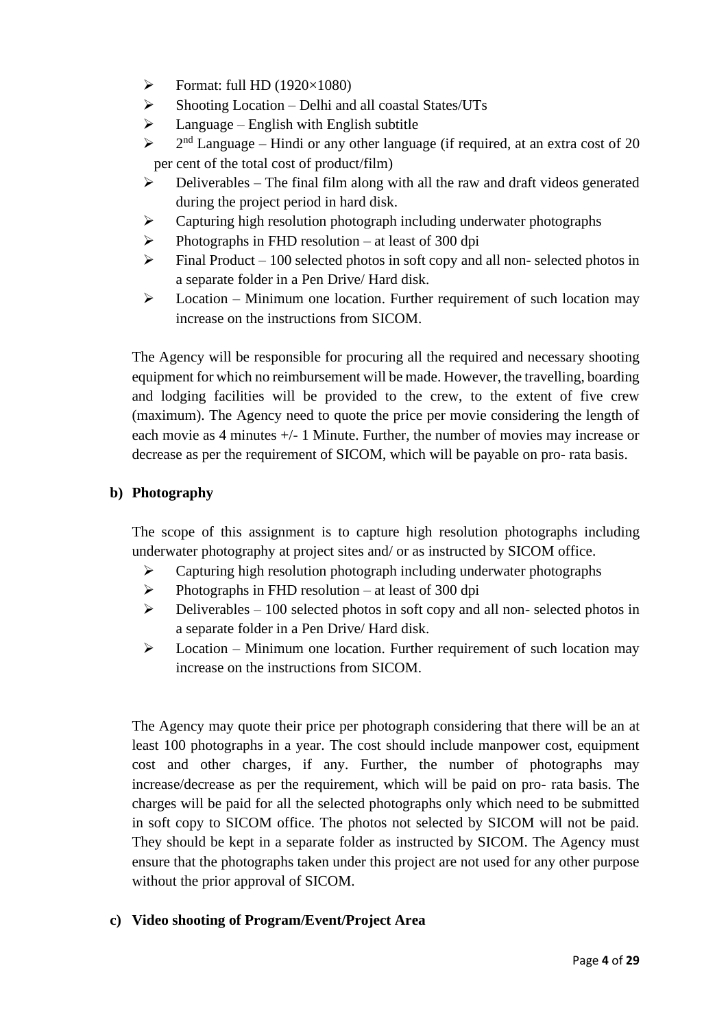- $\triangleright$  Format: full HD (1920×1080)
- $\triangleright$  Shooting Location Delhi and all coastal States/UTs
- $\triangleright$  Language English with English subtitle
- $\triangleright$  $2<sup>nd</sup>$  Language – Hindi or any other language (if required, at an extra cost of 20 per cent of the total cost of product/film)
- $\triangleright$  Deliverables The final film along with all the raw and draft videos generated during the project period in hard disk.
- ➢ Capturing high resolution photograph including underwater photographs
- ➢ Photographs in FHD resolution at least of 300 dpi
- $\triangleright$  Final Product 100 selected photos in soft copy and all non-selected photos in a separate folder in a Pen Drive/ Hard disk.
- $\triangleright$  Location Minimum one location. Further requirement of such location may increase on the instructions from SICOM.

The Agency will be responsible for procuring all the required and necessary shooting equipment for which no reimbursement will be made. However, the travelling, boarding and lodging facilities will be provided to the crew, to the extent of five crew (maximum). The Agency need to quote the price per movie considering the length of each movie as 4 minutes +/- 1 Minute. Further, the number of movies may increase or decrease as per the requirement of SICOM, which will be payable on pro- rata basis.

## **b) Photography**

The scope of this assignment is to capture high resolution photographs including underwater photography at project sites and/ or as instructed by SICOM office.

- ➢ Capturing high resolution photograph including underwater photographs
- $\triangleright$  Photographs in FHD resolution at least of 300 dpi
- $\triangleright$  Deliverables 100 selected photos in soft copy and all non-selected photos in a separate folder in a Pen Drive/ Hard disk.
- $\triangleright$  Location Minimum one location. Further requirement of such location may increase on the instructions from SICOM.

The Agency may quote their price per photograph considering that there will be an at least 100 photographs in a year. The cost should include manpower cost, equipment cost and other charges, if any. Further, the number of photographs may increase/decrease as per the requirement, which will be paid on pro- rata basis. The charges will be paid for all the selected photographs only which need to be submitted in soft copy to SICOM office. The photos not selected by SICOM will not be paid. They should be kept in a separate folder as instructed by SICOM. The Agency must ensure that the photographs taken under this project are not used for any other purpose without the prior approval of SICOM.

### **c) Video shooting of Program/Event/Project Area**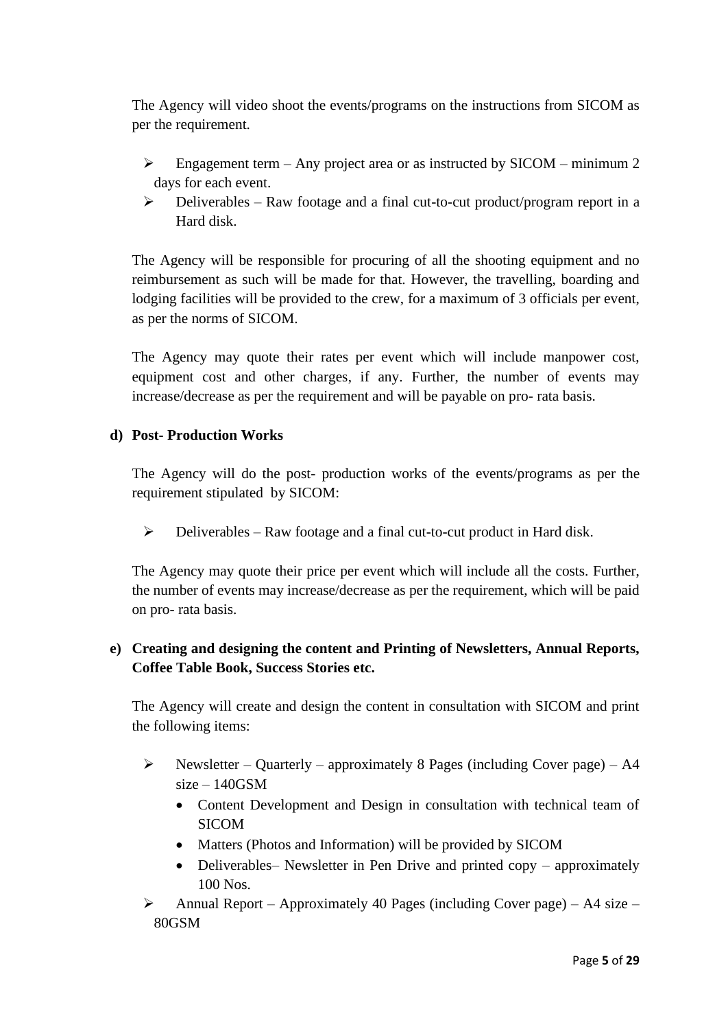The Agency will video shoot the events/programs on the instructions from SICOM as per the requirement.

- $\triangleright$  Engagement term Any project area or as instructed by SICOM minimum 2 days for each event.
- $\triangleright$  Deliverables Raw footage and a final cut-to-cut product/program report in a Hard disk.

The Agency will be responsible for procuring of all the shooting equipment and no reimbursement as such will be made for that. However, the travelling, boarding and lodging facilities will be provided to the crew, for a maximum of 3 officials per event, as per the norms of SICOM.

The Agency may quote their rates per event which will include manpower cost, equipment cost and other charges, if any. Further, the number of events may increase/decrease as per the requirement and will be payable on pro- rata basis.

## **d) Post- Production Works**

The Agency will do the post- production works of the events/programs as per the requirement stipulated by SICOM:

 $\triangleright$  Deliverables – Raw footage and a final cut-to-cut product in Hard disk.

The Agency may quote their price per event which will include all the costs. Further, the number of events may increase/decrease as per the requirement, which will be paid on pro- rata basis.

# **e) Creating and designing the content and Printing of Newsletters, Annual Reports, Coffee Table Book, Success Stories etc.**

The Agency will create and design the content in consultation with SICOM and print the following items:

- $\triangleright$  Newsletter Quarterly approximately 8 Pages (including Cover page) A4  $size - 140$ GSM
	- Content Development and Design in consultation with technical team of SICOM
	- Matters (Photos and Information) will be provided by SICOM
	- Deliverables– Newsletter in Pen Drive and printed copy approximately 100 Nos.
- $\triangleright$  Annual Report Approximately 40 Pages (including Cover page) A4 size 80GSM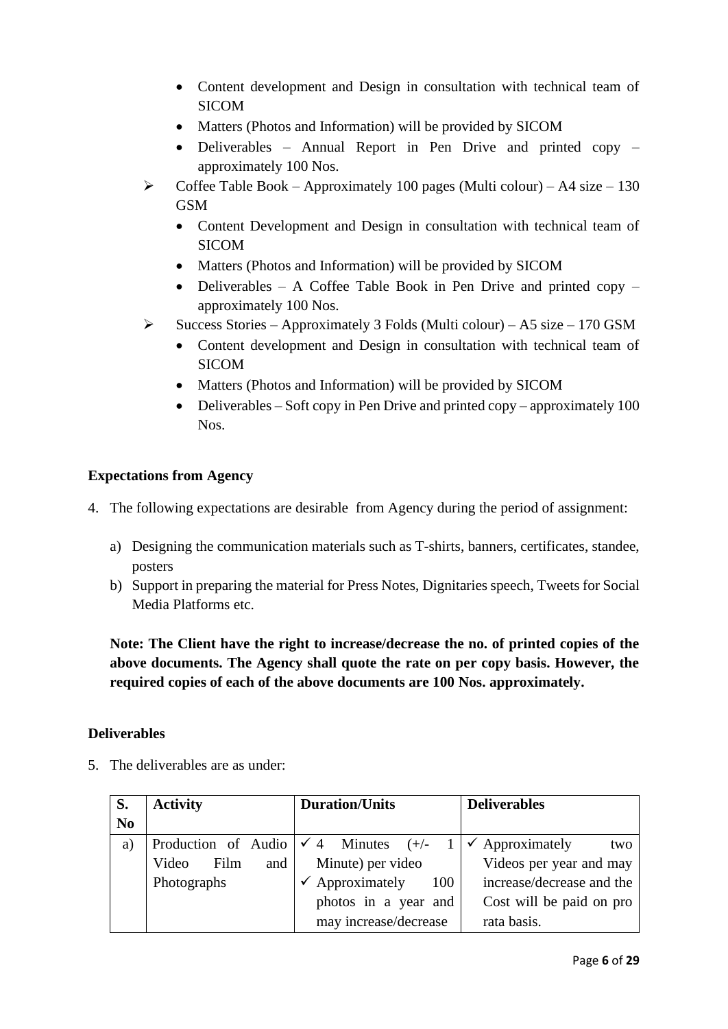- Content development and Design in consultation with technical team of SICOM
- Matters (Photos and Information) will be provided by SICOM
- Deliverables Annual Report in Pen Drive and printed copy approximately 100 Nos.
- $\triangleright$  Coffee Table Book Approximately 100 pages (Multi colour) A4 size 130 GSM
	- Content Development and Design in consultation with technical team of SICOM
	- Matters (Photos and Information) will be provided by SICOM
	- Deliverables A Coffee Table Book in Pen Drive and printed copy approximately 100 Nos.
- $\triangleright$  Success Stories Approximately 3 Folds (Multi colour) A5 size 170 GSM
	- Content development and Design in consultation with technical team of SICOM
	- Matters (Photos and Information) will be provided by SICOM
	- Deliverables Soft copy in Pen Drive and printed copy approximately 100 Nos.

## **Expectations from Agency**

- 4. The following expectations are desirable from Agency during the period of assignment:
	- a) Designing the communication materials such as T-shirts, banners, certificates, standee, posters
	- b) Support in preparing the material for Press Notes, Dignitaries speech, Tweets for Social Media Platforms etc.

**Note: The Client have the right to increase/decrease the no. of printed copies of the above documents. The Agency shall quote the rate on per copy basis. However, the required copies of each of the above documents are 100 Nos. approximately.** 

### **Deliverables**

5. The deliverables are as under:

| S.             | <b>Activity</b>                                 | <b>Duration/Units</b>             | <b>Deliverables</b>               |  |  |
|----------------|-------------------------------------------------|-----------------------------------|-----------------------------------|--|--|
| N <sub>0</sub> |                                                 |                                   |                                   |  |  |
| a)             | Production of Audio $\checkmark$ 4 Minutes (+/- |                                   | $\checkmark$ Approximately<br>two |  |  |
|                | and<br>Film<br>Video                            | Minute) per video                 | Videos per year and may           |  |  |
|                | Photographs                                     | $\checkmark$ Approximately<br>100 | increase/decrease and the         |  |  |
|                |                                                 | photos in a year and              | Cost will be paid on pro          |  |  |
|                |                                                 | may increase/decrease             | rata basis.                       |  |  |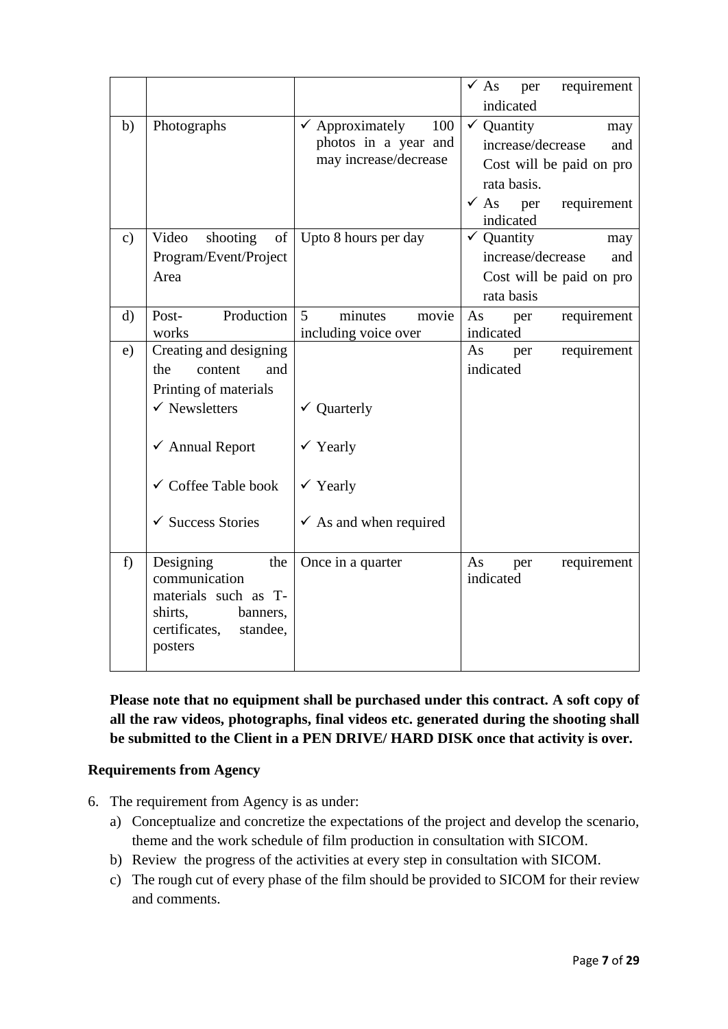|               |                                                                                                                                                                                           |                                                                                                           | requirement<br>$\sqrt{As}$<br>per<br>indicated                                                                                                            |
|---------------|-------------------------------------------------------------------------------------------------------------------------------------------------------------------------------------------|-----------------------------------------------------------------------------------------------------------|-----------------------------------------------------------------------------------------------------------------------------------------------------------|
| b)            | Photographs                                                                                                                                                                               | $\checkmark$ Approximately<br>100<br>photos in a year and<br>may increase/decrease                        | $\checkmark$ Quantity<br>may<br>increase/decrease<br>and<br>Cost will be paid on pro<br>rata basis.<br>$\checkmark$ As<br>per<br>requirement<br>indicated |
| $\mathbf{c})$ | Video<br>shooting<br>of<br>Program/Event/Project<br>Area                                                                                                                                  | Upto 8 hours per day                                                                                      | $\checkmark$ Quantity<br>may<br>increase/decrease<br>and<br>Cost will be paid on pro<br>rata basis                                                        |
| $\mathbf{d}$  | Production<br>Post-<br>works                                                                                                                                                              | minutes<br>5<br>movie<br>including voice over                                                             | requirement<br>As<br>per<br>indicated                                                                                                                     |
| e)            | Creating and designing<br>the<br>content<br>and<br>Printing of materials<br>$\checkmark$ Newsletters<br>✔ Annual Report<br>$\checkmark$ Coffee Table book<br>$\checkmark$ Success Stories | $\checkmark$ Quarterly<br>$\checkmark$ Yearly<br>$\checkmark$ Yearly<br>$\checkmark$ As and when required | requirement<br>As<br>per<br>indicated                                                                                                                     |
| f)            | Designing<br>the<br>communication<br>materials such as T-<br>shirts,<br>banners,<br>certificates,<br>standee,<br>posters                                                                  | Once in a quarter                                                                                         | requirement<br>As<br>per<br>indicated                                                                                                                     |

**Please note that no equipment shall be purchased under this contract. A soft copy of all the raw videos, photographs, final videos etc. generated during the shooting shall be submitted to the Client in a PEN DRIVE/ HARD DISK once that activity is over.** 

# **Requirements from Agency**

- 6. The requirement from Agency is as under:
	- a) Conceptualize and concretize the expectations of the project and develop the scenario, theme and the work schedule of film production in consultation with SICOM.
	- b) Review the progress of the activities at every step in consultation with SICOM.
	- c) The rough cut of every phase of the film should be provided to SICOM for their review and comments.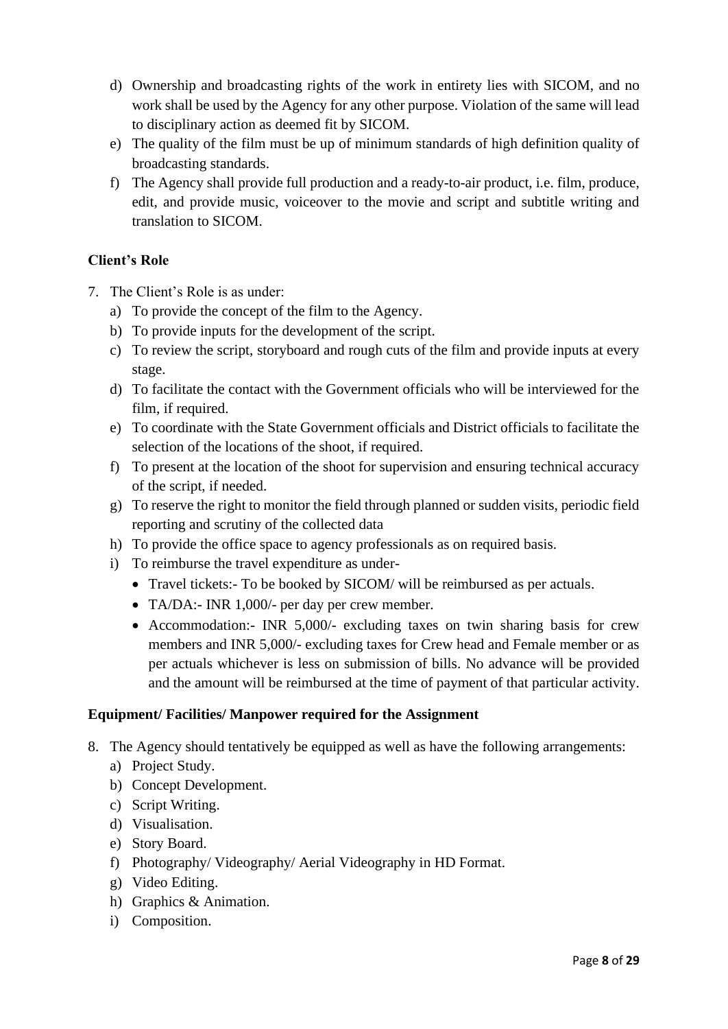- d) Ownership and broadcasting rights of the work in entirety lies with SICOM, and no work shall be used by the Agency for any other purpose. Violation of the same will lead to disciplinary action as deemed fit by SICOM.
- e) The quality of the film must be up of minimum standards of high definition quality of broadcasting standards.
- f) The Agency shall provide full production and a ready-to-air product, i.e. film, produce, edit, and provide music, voiceover to the movie and script and subtitle writing and translation to SICOM.

# **Client's Role**

- 7. The Client's Role is as under:
	- a) To provide the concept of the film to the Agency.
	- b) To provide inputs for the development of the script.
	- c) To review the script, storyboard and rough cuts of the film and provide inputs at every stage.
	- d) To facilitate the contact with the Government officials who will be interviewed for the film, if required.
	- e) To coordinate with the State Government officials and District officials to facilitate the selection of the locations of the shoot, if required.
	- f) To present at the location of the shoot for supervision and ensuring technical accuracy of the script, if needed.
	- g) To reserve the right to monitor the field through planned or sudden visits, periodic field reporting and scrutiny of the collected data
	- h) To provide the office space to agency professionals as on required basis.
	- i) To reimburse the travel expenditure as under-
		- Travel tickets:- To be booked by SICOM/ will be reimbursed as per actuals.
		- TA/DA:- INR 1,000/- per day per crew member.
		- Accommodation:- INR 5,000/- excluding taxes on twin sharing basis for crew members and INR 5,000/- excluding taxes for Crew head and Female member or as per actuals whichever is less on submission of bills. No advance will be provided and the amount will be reimbursed at the time of payment of that particular activity.

# **Equipment/ Facilities/ Manpower required for the Assignment**

- 8. The Agency should tentatively be equipped as well as have the following arrangements:
	- a) Project Study.
	- b) Concept Development.
	- c) Script Writing.
	- d) Visualisation.
	- e) Story Board.
	- f) Photography/ Videography/ Aerial Videography in HD Format.
	- g) Video Editing.
	- h) Graphics & Animation.
	- i) Composition.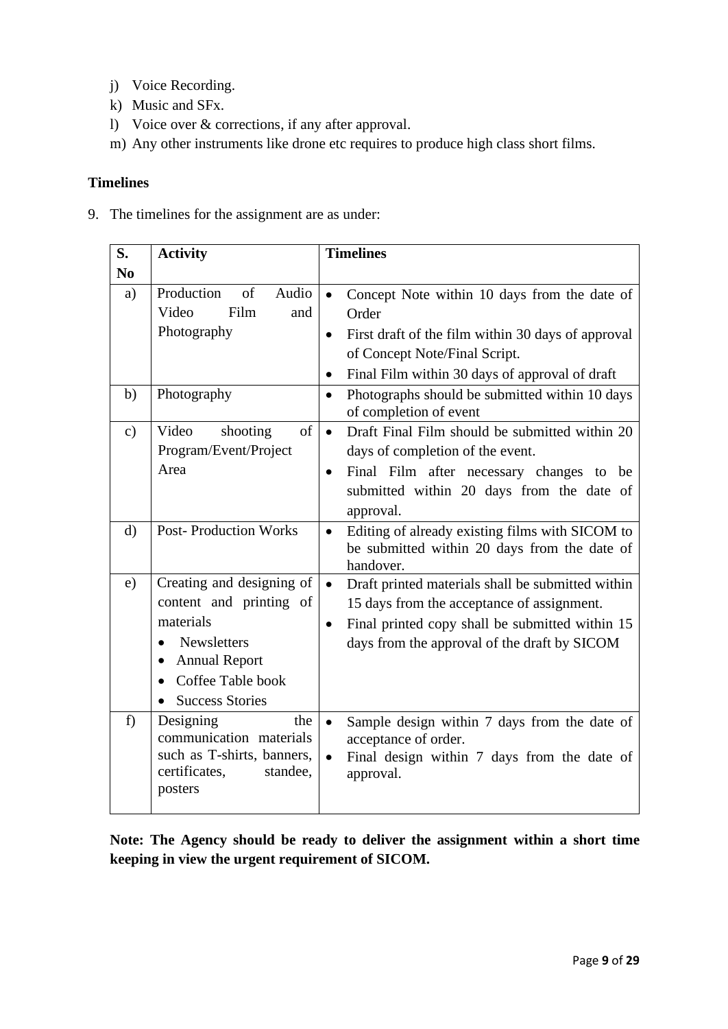- j) Voice Recording.
- k) Music and SFx.
- l) Voice over & corrections, if any after approval.
- m) Any other instruments like drone etc requires to produce high class short films.

# **Timelines**

9. The timelines for the assignment are as under:

| S.             | <b>Activity</b>                                                                                                                                                                                | <b>Timelines</b>                                                                                                                                                                                                   |
|----------------|------------------------------------------------------------------------------------------------------------------------------------------------------------------------------------------------|--------------------------------------------------------------------------------------------------------------------------------------------------------------------------------------------------------------------|
| N <sub>0</sub> |                                                                                                                                                                                                |                                                                                                                                                                                                                    |
| a)             | Production<br>of<br>Audio<br>Video<br>Film<br>and                                                                                                                                              | Concept Note within 10 days from the date of<br>$\bullet$<br>Order                                                                                                                                                 |
|                | Photography                                                                                                                                                                                    | First draft of the film within 30 days of approval<br>$\bullet$<br>of Concept Note/Final Script.<br>Final Film within 30 days of approval of draft<br>$\bullet$                                                    |
| b)             | Photography                                                                                                                                                                                    | Photographs should be submitted within 10 days<br>of completion of event                                                                                                                                           |
| $\mathbf{c})$  | shooting<br>of<br>Video<br>Program/Event/Project<br>Area                                                                                                                                       | Draft Final Film should be submitted within 20<br>$\bullet$<br>days of completion of the event.<br>Final Film after necessary changes to be<br>$\bullet$<br>submitted within 20 days from the date of<br>approval. |
| $\mathbf{d}$   | <b>Post-Production Works</b>                                                                                                                                                                   | Editing of already existing films with SICOM to<br>$\bullet$<br>be submitted within 20 days from the date of<br>handover.                                                                                          |
| e)             | Creating and designing of<br>content and printing of<br>materials<br>Newsletters<br>$\bullet$<br><b>Annual Report</b><br>Coffee Table book<br>$\bullet$<br><b>Success Stories</b><br>$\bullet$ | Draft printed materials shall be submitted within<br>15 days from the acceptance of assignment.<br>Final printed copy shall be submitted within 15<br>$\bullet$<br>days from the approval of the draft by SICOM    |
| f              | Designing<br>the<br>communication materials<br>such as T-shirts, banners,<br>certificates,<br>standee,<br>posters                                                                              | Sample design within 7 days from the date of<br>acceptance of order.<br>Final design within 7 days from the date of<br>approval.                                                                                   |

**Note: The Agency should be ready to deliver the assignment within a short time keeping in view the urgent requirement of SICOM.**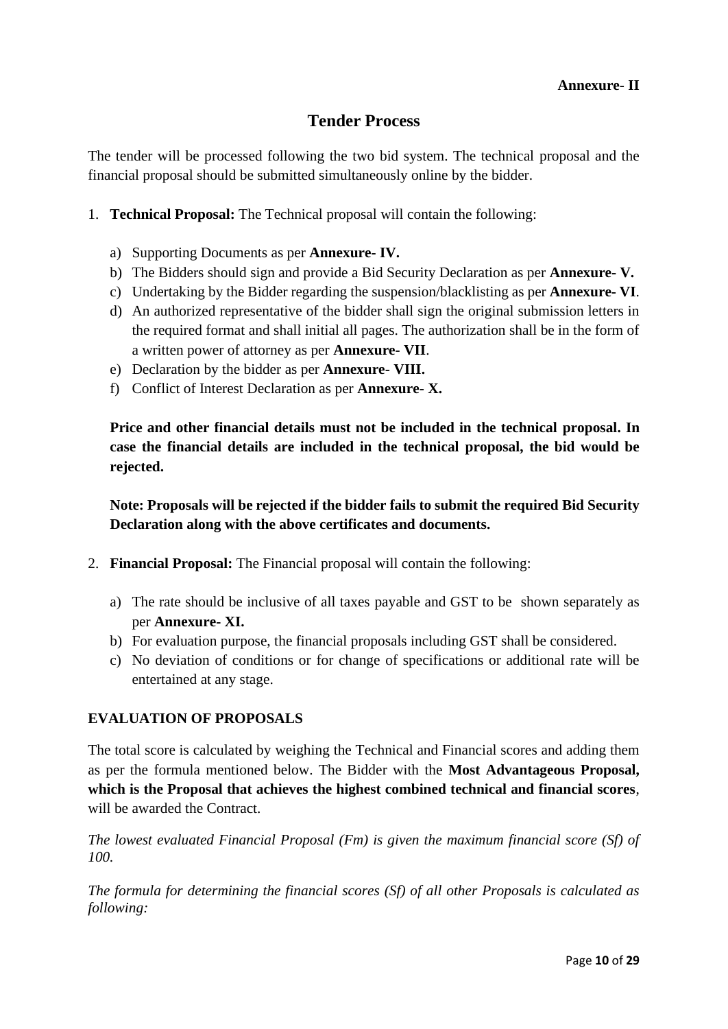# **Tender Process**

The tender will be processed following the two bid system. The technical proposal and the financial proposal should be submitted simultaneously online by the bidder.

- 1. **Technical Proposal:** The Technical proposal will contain the following:
	- a) Supporting Documents as per **Annexure- IV.**
	- b) The Bidders should sign and provide a Bid Security Declaration as per **Annexure- V.**
	- c) Undertaking by the Bidder regarding the suspension/blacklisting as per **Annexure- VI**.
	- d) An authorized representative of the bidder shall sign the original submission letters in the required format and shall initial all pages. The authorization shall be in the form of a written power of attorney as per **Annexure- VII**.
	- e) Declaration by the bidder as per **Annexure- VIII.**
	- f) Conflict of Interest Declaration as per **Annexure- X.**

**Price and other financial details must not be included in the technical proposal. In case the financial details are included in the technical proposal, the bid would be rejected.** 

**Note: Proposals will be rejected if the bidder fails to submit the required Bid Security Declaration along with the above certificates and documents.** 

- 2. **Financial Proposal:** The Financial proposal will contain the following:
	- a) The rate should be inclusive of all taxes payable and GST to be shown separately as per **Annexure- XI.**
	- b) For evaluation purpose, the financial proposals including GST shall be considered.
	- c) No deviation of conditions or for change of specifications or additional rate will be entertained at any stage.

### **EVALUATION OF PROPOSALS**

The total score is calculated by weighing the Technical and Financial scores and adding them as per the formula mentioned below. The Bidder with the **Most Advantageous Proposal, which is the Proposal that achieves the highest combined technical and financial scores**, will be awarded the Contract.

*The lowest evaluated Financial Proposal (Fm) is given the maximum financial score (Sf) of 100.*

*The formula for determining the financial scores (Sf) of all other Proposals is calculated as following:*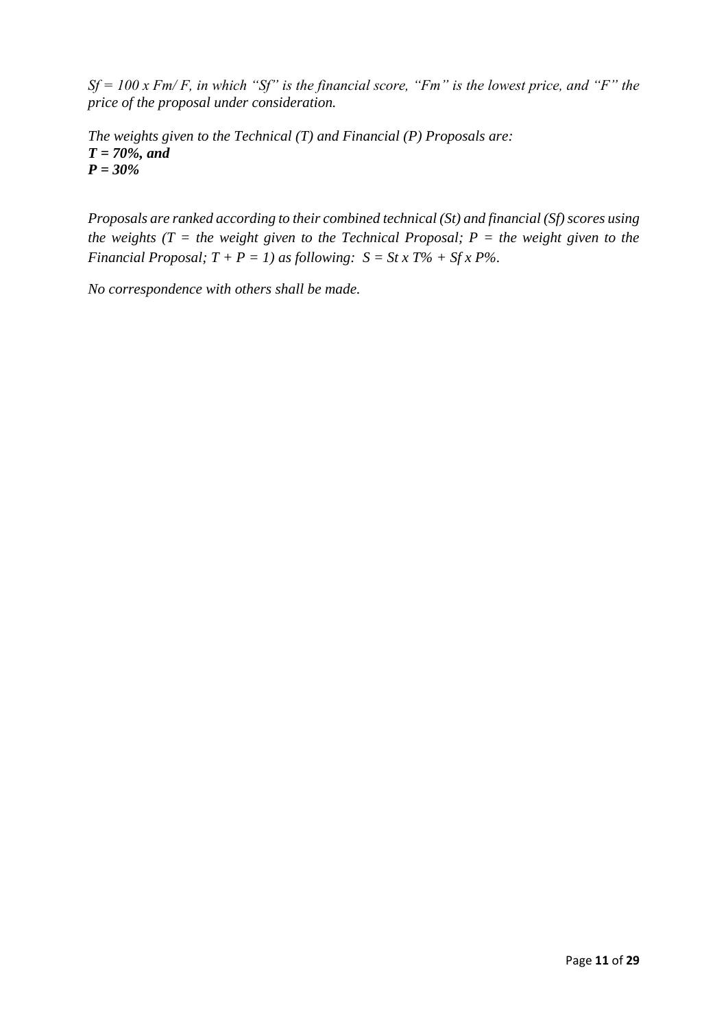*Sf = 100 x Fm/ F, in which "Sf" is the financial score, "Fm" is the lowest price, and "F" the price of the proposal under consideration.*

*The weights given to the Technical (T) and Financial (P) Proposals are: T = 70%, and P = 30%*

*Proposals are ranked according to their combined technical (St) and financial (Sf) scores using the weights (T = the weight given to the Technical Proposal; P = the weight given to the Financial Proposal;*  $T + P = 1$ *) as following:*  $S = St x T\% + Sfx P\%.$ 

*No correspondence with others shall be made.*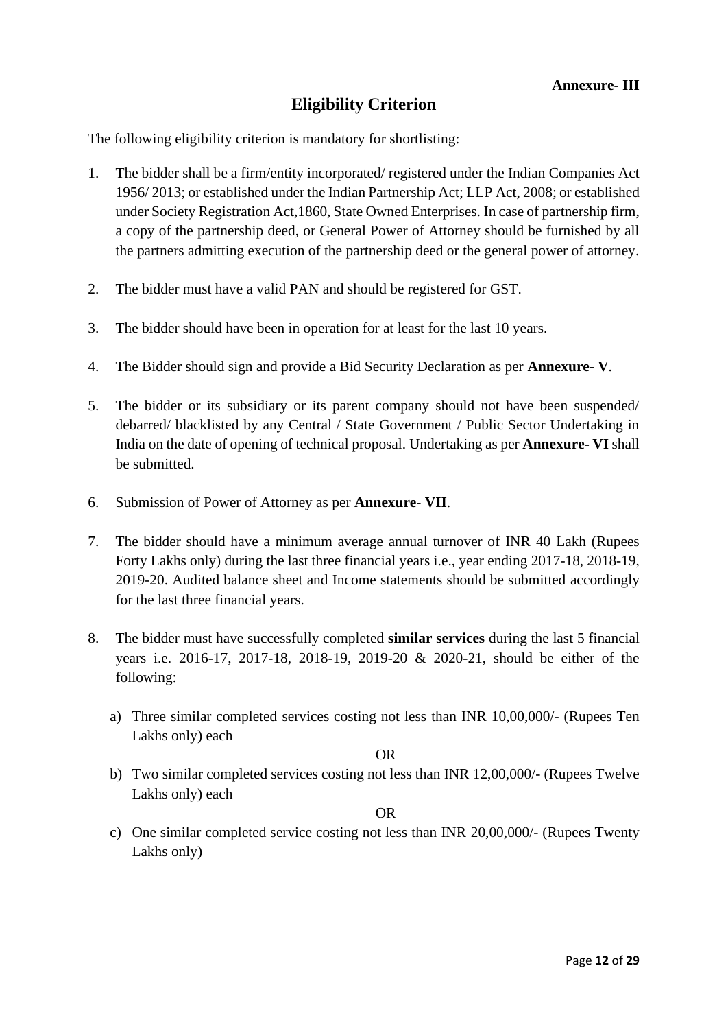# **Eligibility Criterion**

The following eligibility criterion is mandatory for shortlisting:

- 1. The bidder shall be a firm/entity incorporated/ registered under the Indian Companies Act 1956/ 2013; or established under the Indian Partnership Act; LLP Act, 2008; or established under Society Registration Act,1860, State Owned Enterprises. In case of partnership firm, a copy of the partnership deed, or General Power of Attorney should be furnished by all the partners admitting execution of the partnership deed or the general power of attorney.
- 2. The bidder must have a valid PAN and should be registered for GST.
- 3. The bidder should have been in operation for at least for the last 10 years.
- 4. The Bidder should sign and provide a Bid Security Declaration as per **Annexure- V**.
- 5. The bidder or its subsidiary or its parent company should not have been suspended/ debarred/ blacklisted by any Central / State Government / Public Sector Undertaking in India on the date of opening of technical proposal. Undertaking as per **Annexure- VI** shall be submitted.
- 6. Submission of Power of Attorney as per **Annexure- VII**.
- 7. The bidder should have a minimum average annual turnover of INR 40 Lakh (Rupees Forty Lakhs only) during the last three financial years i.e., year ending 2017-18, 2018-19, 2019-20. Audited balance sheet and Income statements should be submitted accordingly for the last three financial years.
- 8. The bidder must have successfully completed **similar services** during the last 5 financial years i.e. 2016-17, 2017-18, 2018-19, 2019-20 & 2020-21, should be either of the following:
	- a) Three similar completed services costing not less than INR 10,00,000/- (Rupees Ten Lakhs only) each

OR

b) Two similar completed services costing not less than INR 12,00,000/- (Rupees Twelve Lakhs only) each

OR

c) One similar completed service costing not less than INR 20,00,000/- (Rupees Twenty Lakhs only)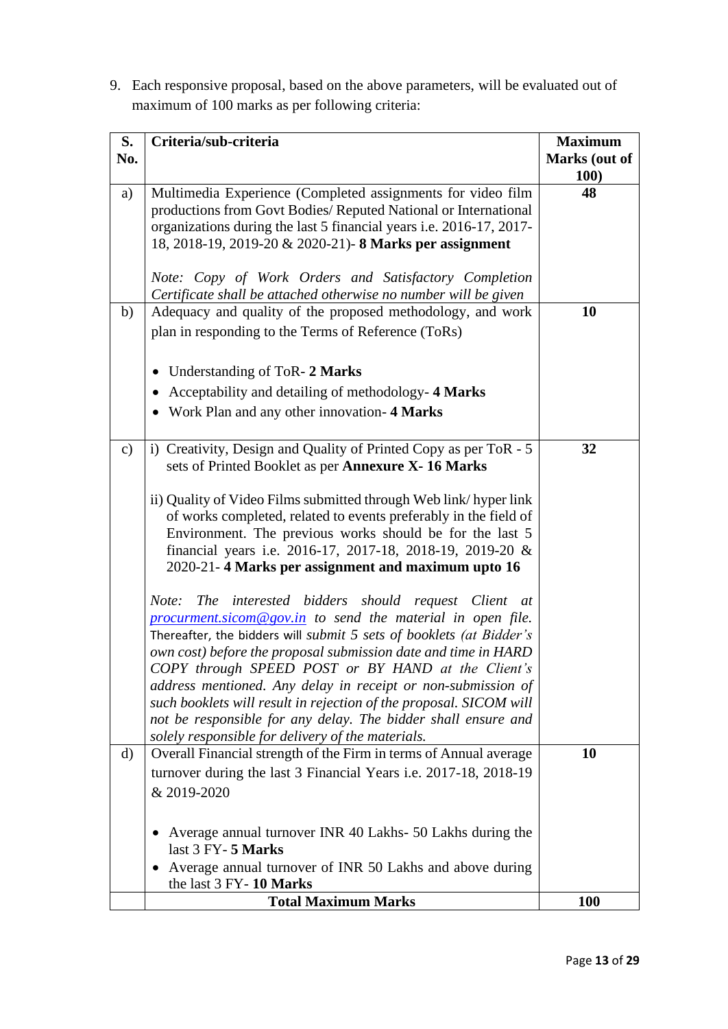9. Each responsive proposal, based on the above parameters, will be evaluated out of maximum of 100 marks as per following criteria:

| S.            | Criteria/sub-criteria                                                                                                                  | <b>Maximum</b> |
|---------------|----------------------------------------------------------------------------------------------------------------------------------------|----------------|
| No.           |                                                                                                                                        | Marks (out of  |
|               |                                                                                                                                        | 100)           |
| a)            | Multimedia Experience (Completed assignments for video film                                                                            | 48             |
|               | productions from Govt Bodies/ Reputed National or International<br>organizations during the last 5 financial years i.e. 2016-17, 2017- |                |
|               | 18, 2018-19, 2019-20 & 2020-21)- 8 Marks per assignment                                                                                |                |
|               |                                                                                                                                        |                |
|               | Note: Copy of Work Orders and Satisfactory Completion                                                                                  |                |
|               | Certificate shall be attached otherwise no number will be given                                                                        |                |
| b)            | Adequacy and quality of the proposed methodology, and work                                                                             | 10             |
|               | plan in responding to the Terms of Reference (ToRs)                                                                                    |                |
|               |                                                                                                                                        |                |
|               | Understanding of ToR- 2 Marks<br>$\bullet$                                                                                             |                |
|               | Acceptability and detailing of methodology-4 Marks<br>$\bullet$                                                                        |                |
|               | • Work Plan and any other innovation-4 Marks                                                                                           |                |
|               |                                                                                                                                        |                |
| $\mathbf{c})$ | i) Creativity, Design and Quality of Printed Copy as per ToR - 5                                                                       | 32             |
|               | sets of Printed Booklet as per Annexure X-16 Marks                                                                                     |                |
|               | ii) Quality of Video Films submitted through Web link/hyper link                                                                       |                |
|               | of works completed, related to events preferably in the field of                                                                       |                |
|               | Environment. The previous works should be for the last 5                                                                               |                |
|               | financial years i.e. 2016-17, 2017-18, 2018-19, 2019-20 &                                                                              |                |
|               | 2020-21-4 Marks per assignment and maximum upto 16                                                                                     |                |
|               | Note: The interested bidders should request Client at                                                                                  |                |
|               | $procurrent.sicom@gov.in$ to send the material in open file.                                                                           |                |
|               | Thereafter, the bidders will submit 5 sets of booklets (at Bidder's                                                                    |                |
|               | own cost) before the proposal submission date and time in HARD                                                                         |                |
|               | COPY through SPEED POST or BY HAND at the Client's                                                                                     |                |
|               | address mentioned. Any delay in receipt or non-submission of                                                                           |                |
|               | such booklets will result in rejection of the proposal. SICOM will<br>not be responsible for any delay. The bidder shall ensure and    |                |
|               | solely responsible for delivery of the materials.                                                                                      |                |
| d)            | Overall Financial strength of the Firm in terms of Annual average                                                                      | 10             |
|               | turnover during the last 3 Financial Years i.e. 2017-18, 2018-19                                                                       |                |
|               | & 2019-2020                                                                                                                            |                |
|               |                                                                                                                                        |                |
|               | Average annual turnover INR 40 Lakhs- 50 Lakhs during the                                                                              |                |
|               | last 3 FY-5 Marks                                                                                                                      |                |
|               | Average annual turnover of INR 50 Lakhs and above during<br>$\bullet$                                                                  |                |
|               | the last 3 FY-10 Marks                                                                                                                 |                |
|               | <b>Total Maximum Marks</b>                                                                                                             | <b>100</b>     |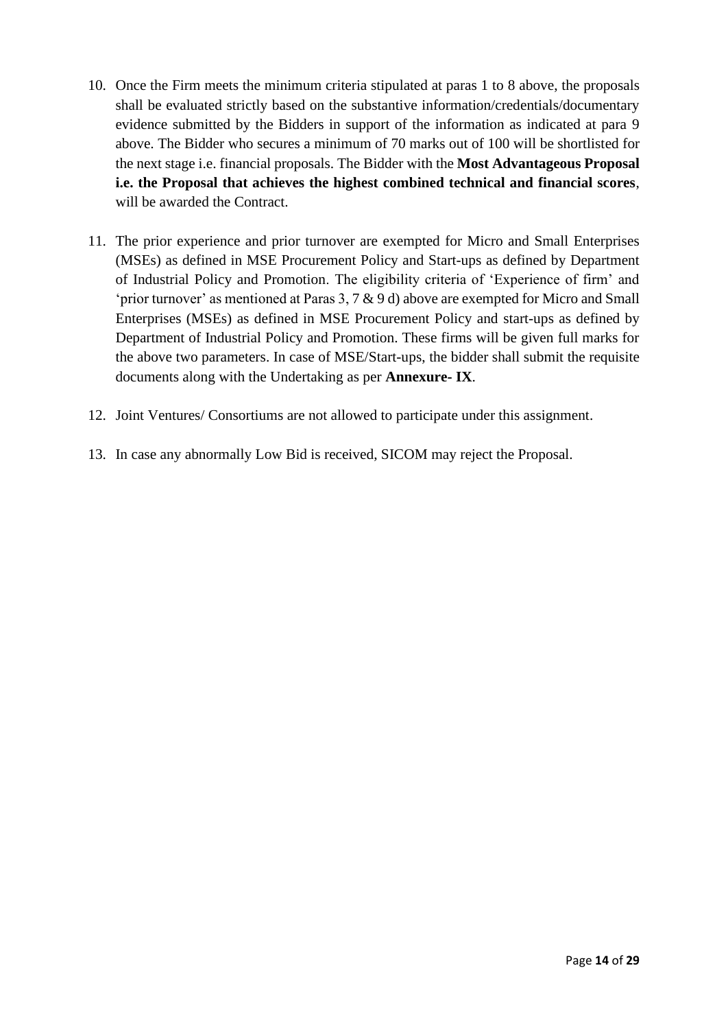- 10. Once the Firm meets the minimum criteria stipulated at paras 1 to 8 above, the proposals shall be evaluated strictly based on the substantive information/credentials/documentary evidence submitted by the Bidders in support of the information as indicated at para 9 above. The Bidder who secures a minimum of 70 marks out of 100 will be shortlisted for the next stage i.e. financial proposals. The Bidder with the **Most Advantageous Proposal i.e. the Proposal that achieves the highest combined technical and financial scores**, will be awarded the Contract.
- 11. The prior experience and prior turnover are exempted for Micro and Small Enterprises (MSEs) as defined in MSE Procurement Policy and Start-ups as defined by Department of Industrial Policy and Promotion. The eligibility criteria of 'Experience of firm' and 'prior turnover' as mentioned at Paras 3, 7 & 9 d) above are exempted for Micro and Small Enterprises (MSEs) as defined in MSE Procurement Policy and start-ups as defined by Department of Industrial Policy and Promotion. These firms will be given full marks for the above two parameters. In case of MSE/Start-ups, the bidder shall submit the requisite documents along with the Undertaking as per **Annexure- IX**.
- 12. Joint Ventures/ Consortiums are not allowed to participate under this assignment.
- 13. In case any abnormally Low Bid is received, SICOM may reject the Proposal.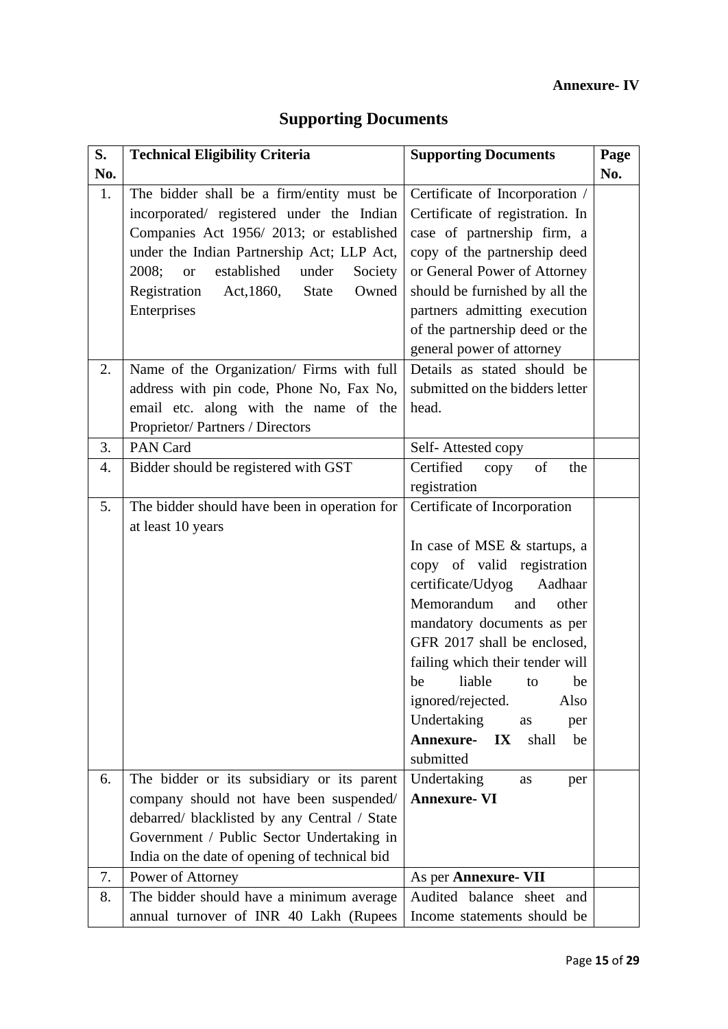# **Annexure- IV**

# **Supporting Documents**

| S.  | <b>Technical Eligibility Criteria</b>                 | <b>Supporting Documents</b>                       | Page |
|-----|-------------------------------------------------------|---------------------------------------------------|------|
| No. |                                                       |                                                   | No.  |
| 1.  | The bidder shall be a firm/entity must be             | Certificate of Incorporation /                    |      |
|     | incorporated/ registered under the Indian             | Certificate of registration. In                   |      |
|     | Companies Act 1956/2013; or established               | case of partnership firm, a                       |      |
|     | under the Indian Partnership Act; LLP Act,            | copy of the partnership deed                      |      |
|     | established<br>2008;<br>under<br>Society<br><b>or</b> | or General Power of Attorney                      |      |
|     | Registration<br>Act, 1860,<br>Owned<br><b>State</b>   | should be furnished by all the                    |      |
|     | Enterprises                                           | partners admitting execution                      |      |
|     |                                                       | of the partnership deed or the                    |      |
|     |                                                       | general power of attorney                         |      |
| 2.  | Name of the Organization/ Firms with full             | Details as stated should be                       |      |
|     | address with pin code, Phone No, Fax No,              | submitted on the bidders letter                   |      |
|     | email etc. along with the name of the                 | head.                                             |      |
|     | Proprietor/Partners / Directors                       |                                                   |      |
| 3.  | PAN Card                                              | Self-Attested copy                                |      |
| 4.  | Bidder should be registered with GST                  | Certified<br>of<br>the<br>copy                    |      |
|     |                                                       | registration                                      |      |
| 5.  | The bidder should have been in operation for          | Certificate of Incorporation                      |      |
|     | at least 10 years                                     |                                                   |      |
|     |                                                       | In case of MSE & startups, a                      |      |
|     |                                                       | copy of valid registration                        |      |
|     |                                                       | certificate/Udyog<br>Aadhaar                      |      |
|     |                                                       | Memorandum<br>and<br>other                        |      |
|     |                                                       | mandatory documents as per                        |      |
|     |                                                       | GFR 2017 shall be enclosed,                       |      |
|     |                                                       | failing which their tender will                   |      |
|     |                                                       | liable<br>be<br>be<br>to                          |      |
|     |                                                       | ignored/rejected.<br>Also                         |      |
|     |                                                       | Undertaking<br>as<br>per                          |      |
|     |                                                       | <b>Annexure-</b><br>$\mathbf{IX}$<br>shall<br>be  |      |
|     |                                                       | submitted                                         |      |
| 6.  | The bidder or its subsidiary or its parent            | Undertaking<br>as<br>per                          |      |
|     | company should not have been suspended/               | <b>Annexure- VI</b>                               |      |
|     | debarred/ blacklisted by any Central / State          |                                                   |      |
|     | Government / Public Sector Undertaking in             |                                                   |      |
| 7.  | India on the date of opening of technical bid         |                                                   |      |
|     | Power of Attorney                                     | As per Annexure- VII<br>Audited balance sheet and |      |
| 8.  | The bidder should have a minimum average              |                                                   |      |
|     | annual turnover of INR 40 Lakh (Rupees                | Income statements should be                       |      |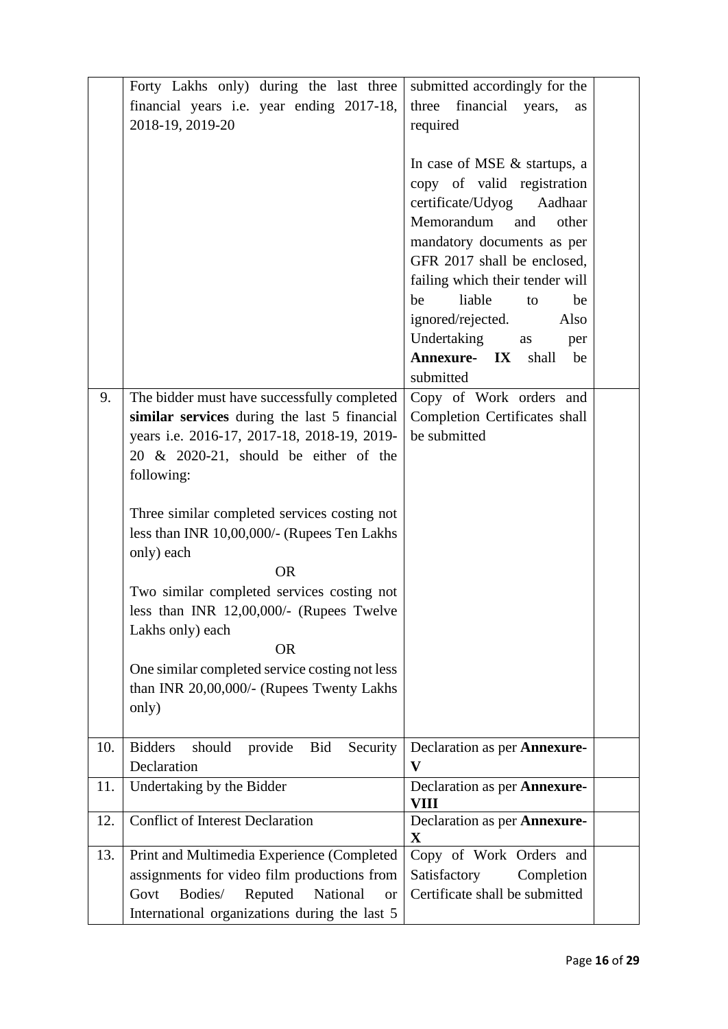|     | Forty Lakhs only) during the last three                       | submitted accordingly for the             |  |
|-----|---------------------------------------------------------------|-------------------------------------------|--|
|     | financial years i.e. year ending 2017-18,                     | three<br>financial<br>years,<br><b>as</b> |  |
|     | 2018-19, 2019-20                                              | required                                  |  |
|     |                                                               |                                           |  |
|     |                                                               | In case of MSE & startups, a              |  |
|     |                                                               |                                           |  |
|     |                                                               | copy of valid registration                |  |
|     |                                                               | certificate/Udyog<br>Aadhaar              |  |
|     |                                                               | Memorandum<br>and<br>other                |  |
|     |                                                               | mandatory documents as per                |  |
|     |                                                               | GFR 2017 shall be enclosed,               |  |
|     |                                                               | failing which their tender will           |  |
|     |                                                               |                                           |  |
|     |                                                               | liable<br>be<br>be<br>to                  |  |
|     |                                                               | ignored/rejected.<br>Also                 |  |
|     |                                                               | Undertaking<br>as<br>per                  |  |
|     |                                                               | Annexure- IX shall<br>be                  |  |
|     |                                                               | submitted                                 |  |
| 9.  | The bidder must have successfully completed                   | Copy of Work orders and                   |  |
|     |                                                               |                                           |  |
|     | similar services during the last 5 financial                  | Completion Certificates shall             |  |
|     | years i.e. 2016-17, 2017-18, 2018-19, 2019-                   | be submitted                              |  |
|     | 20 & 2020-21, should be either of the                         |                                           |  |
|     | following:                                                    |                                           |  |
|     |                                                               |                                           |  |
|     | Three similar completed services costing not                  |                                           |  |
|     |                                                               |                                           |  |
|     | less than INR 10,00,000/- (Rupees Ten Lakhs                   |                                           |  |
|     | only) each                                                    |                                           |  |
|     | <b>OR</b>                                                     |                                           |  |
|     | Two similar completed services costing not                    |                                           |  |
|     | less than INR 12,00,000/- (Rupees Twelve                      |                                           |  |
|     | Lakhs only) each                                              |                                           |  |
|     |                                                               |                                           |  |
|     | <b>OR</b>                                                     |                                           |  |
|     | One similar completed service costing not less                |                                           |  |
|     | than INR 20,00,000/- (Rupees Twenty Lakhs                     |                                           |  |
|     | only)                                                         |                                           |  |
|     |                                                               |                                           |  |
| 10. | <b>Bid</b><br><b>Bidders</b><br>should<br>Security<br>provide | Declaration as per Annexure-              |  |
|     | Declaration                                                   | $\mathbf{V}$                              |  |
|     |                                                               |                                           |  |
| 11. | Undertaking by the Bidder                                     | Declaration as per <b>Annexure-</b>       |  |
|     |                                                               | <b>VIII</b>                               |  |
| 12. | <b>Conflict of Interest Declaration</b>                       | Declaration as per <b>Annexure-</b>       |  |
|     |                                                               | $\mathbf X$                               |  |
| 13. | Print and Multimedia Experience (Completed                    | Copy of Work Orders and                   |  |
|     | assignments for video film productions from                   | Satisfactory<br>Completion                |  |
|     | Bodies/<br>Reputed<br>National<br>Govt<br><b>or</b>           | Certificate shall be submitted            |  |
|     | International organizations during the last 5                 |                                           |  |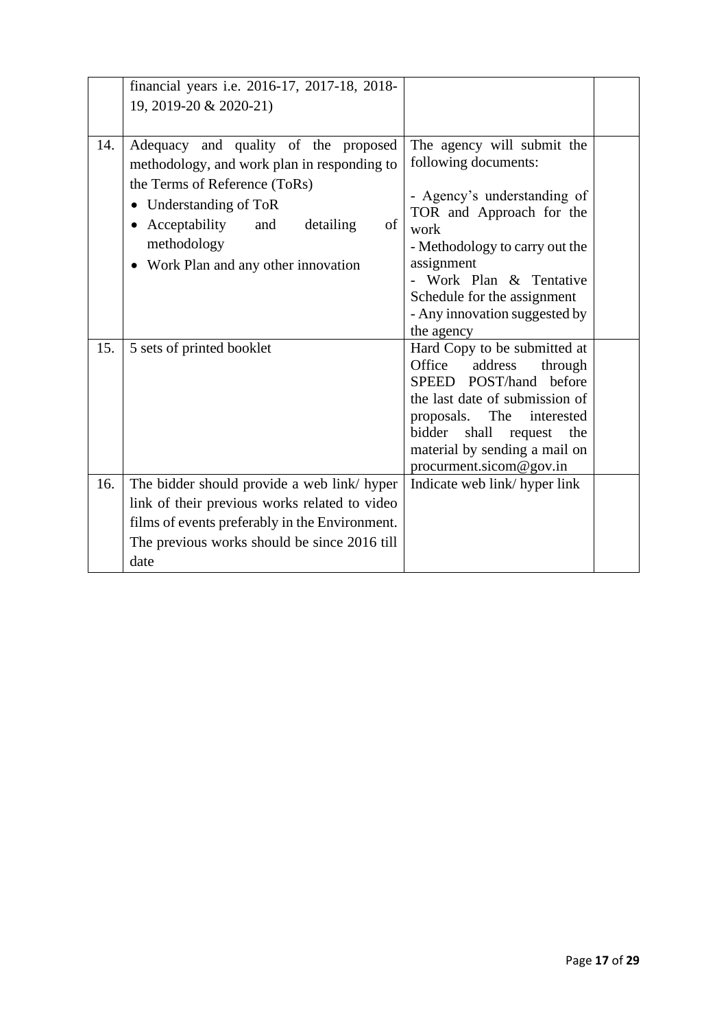|     | financial years i.e. 2016-17, 2017-18, 2018-                                                                                                                                                                                                                |                                                                                                                                                                                                                                                                                |  |
|-----|-------------------------------------------------------------------------------------------------------------------------------------------------------------------------------------------------------------------------------------------------------------|--------------------------------------------------------------------------------------------------------------------------------------------------------------------------------------------------------------------------------------------------------------------------------|--|
|     | 19, 2019-20 & 2020-21)                                                                                                                                                                                                                                      |                                                                                                                                                                                                                                                                                |  |
|     |                                                                                                                                                                                                                                                             |                                                                                                                                                                                                                                                                                |  |
| 14. | Adequacy and quality of the proposed<br>methodology, and work plan in responding to<br>the Terms of Reference (ToRs)<br>Understanding of ToR<br>Acceptability<br>of<br>and<br>detailing<br>$\bullet$<br>methodology<br>• Work Plan and any other innovation | The agency will submit the<br>following documents:<br>- Agency's understanding of<br>TOR and Approach for the<br>work<br>- Methodology to carry out the<br>assignment<br>- Work Plan & Tentative<br>Schedule for the assignment<br>- Any innovation suggested by<br>the agency |  |
| 15. | 5 sets of printed booklet                                                                                                                                                                                                                                   | Hard Copy to be submitted at<br>Office<br>address<br>through<br>SPEED POST/hand<br>before<br>the last date of submission of<br>The<br>proposals.<br>interested<br>shall<br>bidder<br>the<br>request<br>material by sending a mail on<br>procurment.sicom@gov.in                |  |
| 16. | The bidder should provide a web link/ hyper<br>link of their previous works related to video<br>films of events preferably in the Environment.<br>The previous works should be since 2016 till<br>date                                                      | Indicate web link/hyper link                                                                                                                                                                                                                                                   |  |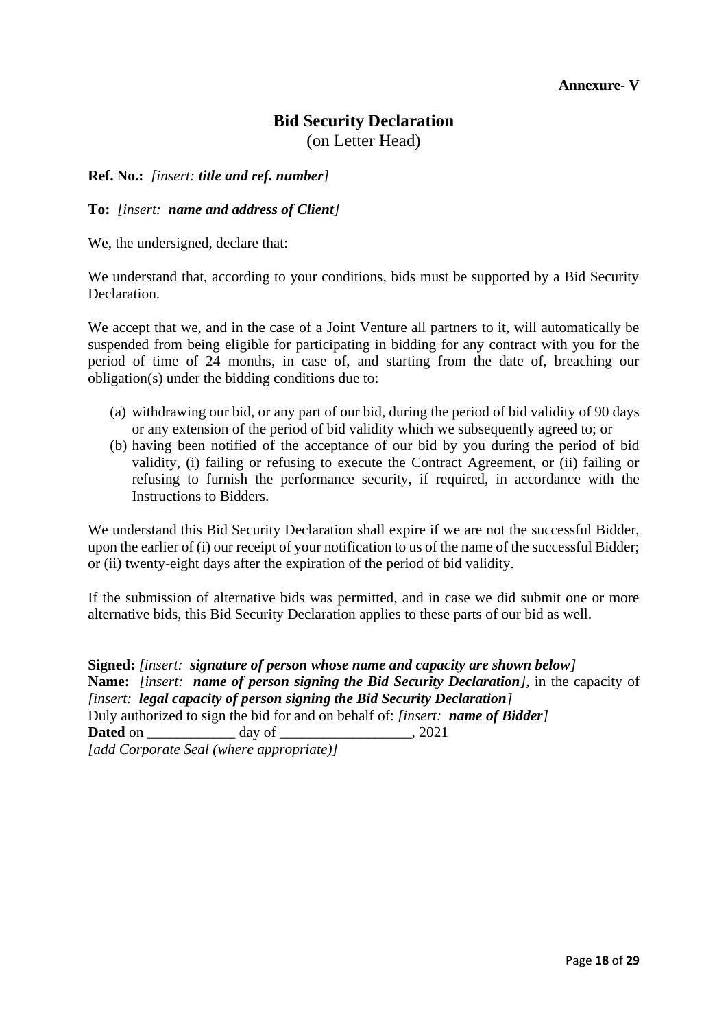### **Annexure- V**

# **Bid Security Declaration**

(on Letter Head)

**Ref. No.:** *[insert: title and ref. number]*

**To:** *[insert: name and address of Client]*

We, the undersigned, declare that:

We understand that, according to your conditions, bids must be supported by a Bid Security Declaration.

We accept that we, and in the case of a Joint Venture all partners to it, will automatically be suspended from being eligible for participating in bidding for any contract with you for the period of time of 24 months*,* in case of, and starting from the date of, breaching our obligation(s) under the bidding conditions due to:

- (a) withdrawing our bid, or any part of our bid, during the period of bid validity of 90 days or any extension of the period of bid validity which we subsequently agreed to; or
- (b) having been notified of the acceptance of our bid by you during the period of bid validity, (i) failing or refusing to execute the Contract Agreement, or (ii) failing or refusing to furnish the performance security, if required, in accordance with the Instructions to Bidders.

We understand this Bid Security Declaration shall expire if we are not the successful Bidder, upon the earlier of (i) our receipt of your notification to us of the name of the successful Bidder; or (ii) twenty-eight days after the expiration of the period of bid validity.

If the submission of alternative bids was permitted, and in case we did submit one or more alternative bids, this Bid Security Declaration applies to these parts of our bid as well.

**Signed:** *[insert: signature of person whose name and capacity are shown below]* **Name:** *[insert: name of person signing the Bid Security Declaration],* in the capacity of *[insert: legal capacity of person signing the Bid Security Declaration]* Duly authorized to sign the bid for and on behalf of: *[insert: name of Bidder]* **Dated** on \_\_\_\_\_\_\_\_\_\_\_\_ day of \_\_\_\_\_\_\_\_\_\_\_\_\_\_\_\_\_\_, 2021 *[add Corporate Seal (where appropriate)]*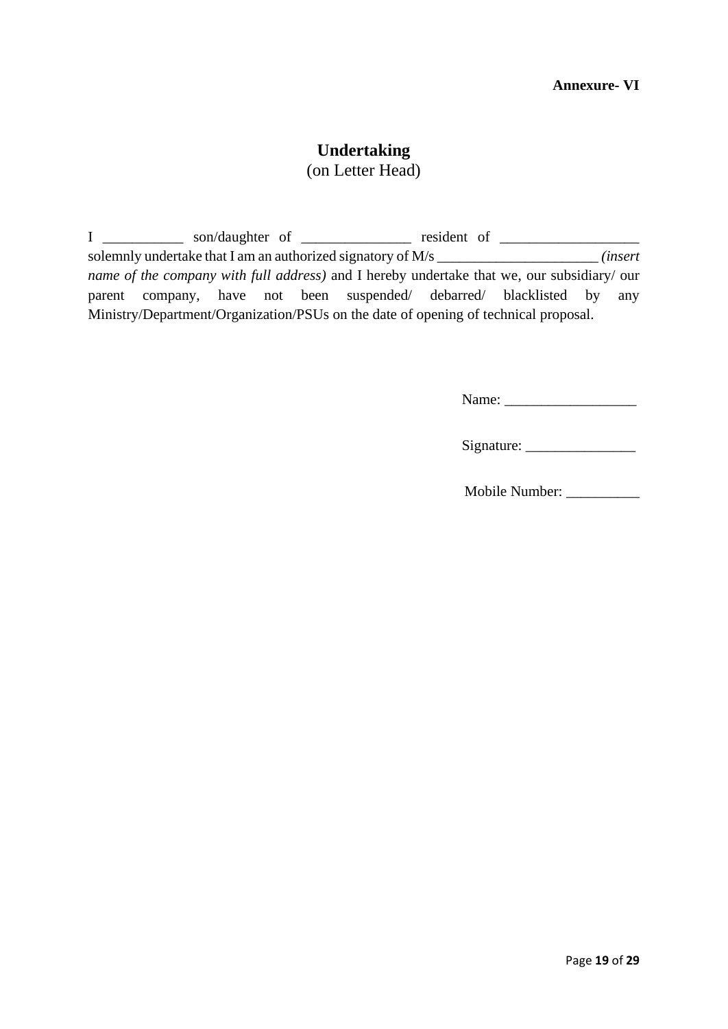# **Undertaking**

(on Letter Head)

| $\mathbf{L}$ |  |  | son/daughter of                                                                            | resident of |  |         |
|--------------|--|--|--------------------------------------------------------------------------------------------|-------------|--|---------|
|              |  |  | solemnly undertake that I am an authorized signatory of M/s                                |             |  | insert) |
|              |  |  | name of the company with full address) and I hereby undertake that we, our subsidiary/ our |             |  |         |
|              |  |  | parent company, have not been suspended debarred blacklisted by                            |             |  | any     |
|              |  |  | Ministry/Department/Organization/PSUs on the date of opening of technical proposal.        |             |  |         |

Name: \_\_\_\_\_\_\_\_\_\_\_\_\_\_\_\_\_\_

| Signature: |  |
|------------|--|
|------------|--|

Mobile Number: \_\_\_\_\_\_\_\_\_\_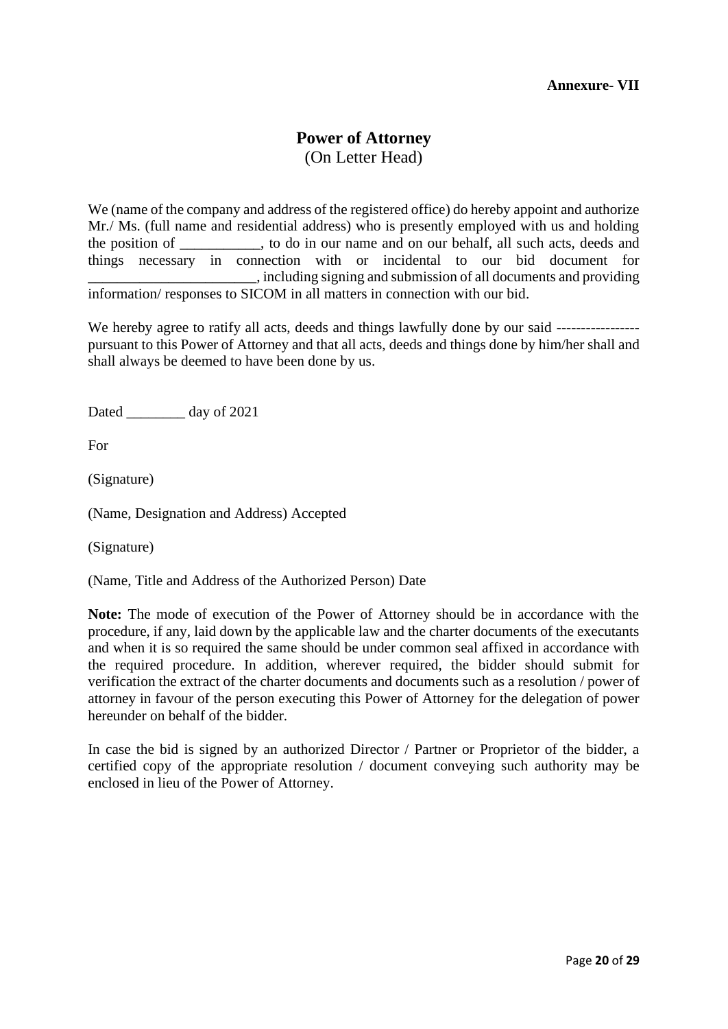# **Power of Attorney** (On Letter Head)

We (name of the company and address of the registered office) do hereby appoint and authorize Mr./ Ms. (full name and residential address) who is presently employed with us and holding the position of the position of the position of the do in our name and on our behalf, all such acts, deeds and things necessary in connection with or incidental to our bid document for **\_\_\_\_\_\_\_\_\_\_\_\_\_\_\_\_\_\_\_\_\_\_\_**, including signing and submission of all documents and providing information/ responses to SICOM in all matters in connection with our bid.

We hereby agree to ratify all acts, deeds and things lawfully done by our said ------------------------------pursuant to this Power of Attorney and that all acts, deeds and things done by him/her shall and shall always be deemed to have been done by us.

Dated day of 2021

For

(Signature)

(Name, Designation and Address) Accepted

(Signature)

(Name, Title and Address of the Authorized Person) Date

**Note:** The mode of execution of the Power of Attorney should be in accordance with the procedure, if any, laid down by the applicable law and the charter documents of the executants and when it is so required the same should be under common seal affixed in accordance with the required procedure. In addition, wherever required, the bidder should submit for verification the extract of the charter documents and documents such as a resolution / power of attorney in favour of the person executing this Power of Attorney for the delegation of power hereunder on behalf of the bidder.

In case the bid is signed by an authorized Director / Partner or Proprietor of the bidder, a certified copy of the appropriate resolution / document conveying such authority may be enclosed in lieu of the Power of Attorney.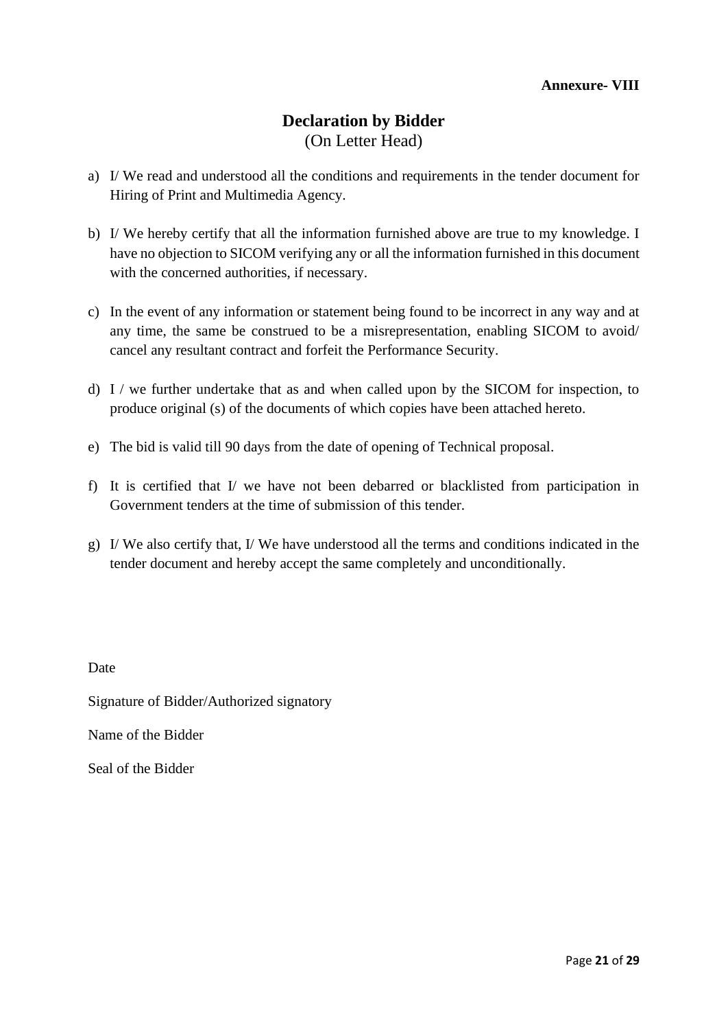# **Declaration by Bidder**  (On Letter Head)

- a) I/ We read and understood all the conditions and requirements in the tender document for Hiring of Print and Multimedia Agency.
- b) I/ We hereby certify that all the information furnished above are true to my knowledge. I have no objection to SICOM verifying any or all the information furnished in this document with the concerned authorities, if necessary.
- c) In the event of any information or statement being found to be incorrect in any way and at any time, the same be construed to be a misrepresentation, enabling SICOM to avoid/ cancel any resultant contract and forfeit the Performance Security.
- d) I / we further undertake that as and when called upon by the SICOM for inspection, to produce original (s) of the documents of which copies have been attached hereto.
- e) The bid is valid till 90 days from the date of opening of Technical proposal.
- f) It is certified that I/ we have not been debarred or blacklisted from participation in Government tenders at the time of submission of this tender.
- g) I/ We also certify that, I/ We have understood all the terms and conditions indicated in the tender document and hereby accept the same completely and unconditionally.

Date

Signature of Bidder/Authorized signatory

Name of the Bidder

Seal of the Bidder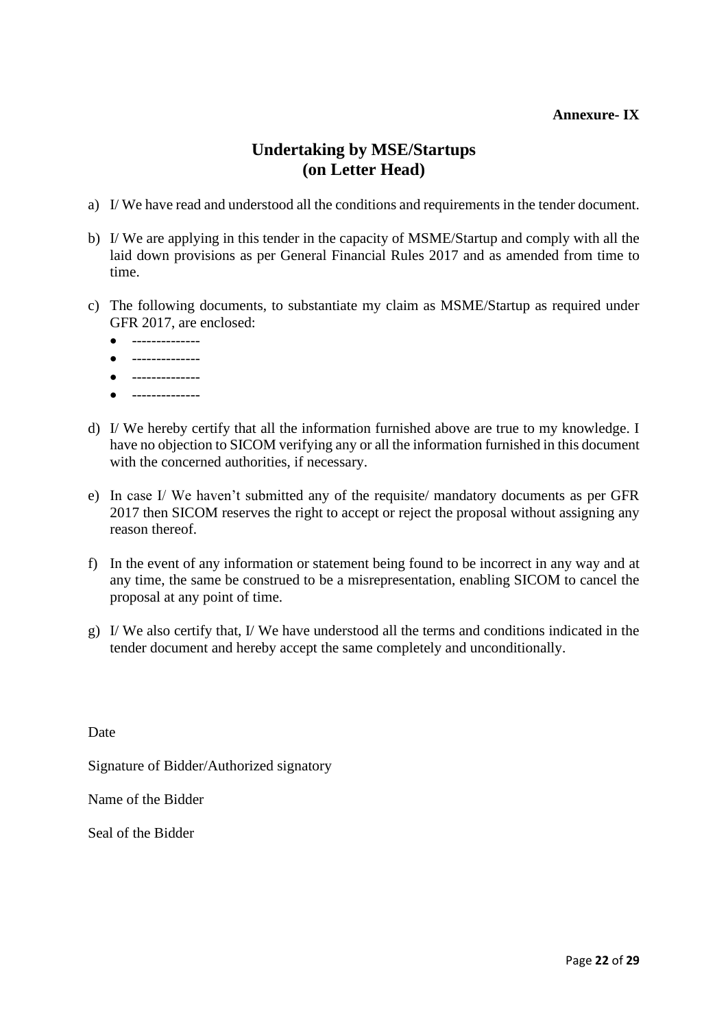### **Annexure- IX**

# **Undertaking by MSE/Startups (on Letter Head)**

- a) I/ We have read and understood all the conditions and requirements in the tender document.
- b) I/ We are applying in this tender in the capacity of MSME/Startup and comply with all the laid down provisions as per General Financial Rules 2017 and as amended from time to time.
- c) The following documents, to substantiate my claim as MSME/Startup as required under GFR 2017, are enclosed:
	- -------------- • -------------- • -------------- • --------------
- d) I/ We hereby certify that all the information furnished above are true to my knowledge. I have no objection to SICOM verifying any or all the information furnished in this document with the concerned authorities, if necessary.
- e) In case I/ We haven't submitted any of the requisite/ mandatory documents as per GFR 2017 then SICOM reserves the right to accept or reject the proposal without assigning any reason thereof.
- f) In the event of any information or statement being found to be incorrect in any way and at any time, the same be construed to be a misrepresentation, enabling SICOM to cancel the proposal at any point of time.
- g) I/ We also certify that, I/ We have understood all the terms and conditions indicated in the tender document and hereby accept the same completely and unconditionally.

Date

Signature of Bidder/Authorized signatory

Name of the Bidder

Seal of the Bidder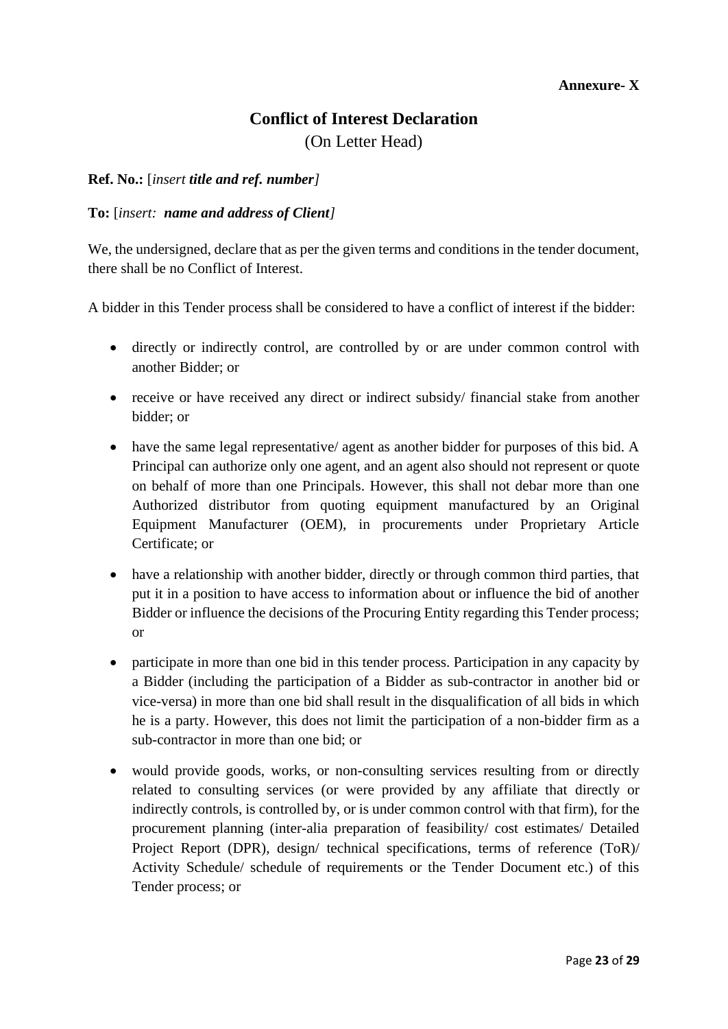# **Conflict of Interest Declaration**

(On Letter Head)

## **Ref. No.:** [*insert title and ref. number]*

## **To:** [*insert: name and address of Client]*

We, the undersigned, declare that as per the given terms and conditions in the tender document, there shall be no Conflict of Interest.

A bidder in this Tender process shall be considered to have a conflict of interest if the bidder:

- directly or indirectly control, are controlled by or are under common control with another Bidder; or
- receive or have received any direct or indirect subsidy/ financial stake from another bidder; or
- have the same legal representative/ agent as another bidder for purposes of this bid. A Principal can authorize only one agent, and an agent also should not represent or quote on behalf of more than one Principals. However, this shall not debar more than one Authorized distributor from quoting equipment manufactured by an Original Equipment Manufacturer (OEM), in procurements under Proprietary Article Certificate; or
- have a relationship with another bidder, directly or through common third parties, that put it in a position to have access to information about or influence the bid of another Bidder or influence the decisions of the Procuring Entity regarding this Tender process; or
- participate in more than one bid in this tender process. Participation in any capacity by a Bidder (including the participation of a Bidder as sub-contractor in another bid or vice-versa) in more than one bid shall result in the disqualification of all bids in which he is a party. However, this does not limit the participation of a non-bidder firm as a sub-contractor in more than one bid; or
- would provide goods, works, or non-consulting services resulting from or directly related to consulting services (or were provided by any affiliate that directly or indirectly controls, is controlled by, or is under common control with that firm), for the procurement planning (inter-alia preparation of feasibility/ cost estimates/ Detailed Project Report (DPR), design/ technical specifications, terms of reference (ToR)/ Activity Schedule/ schedule of requirements or the Tender Document etc.) of this Tender process; or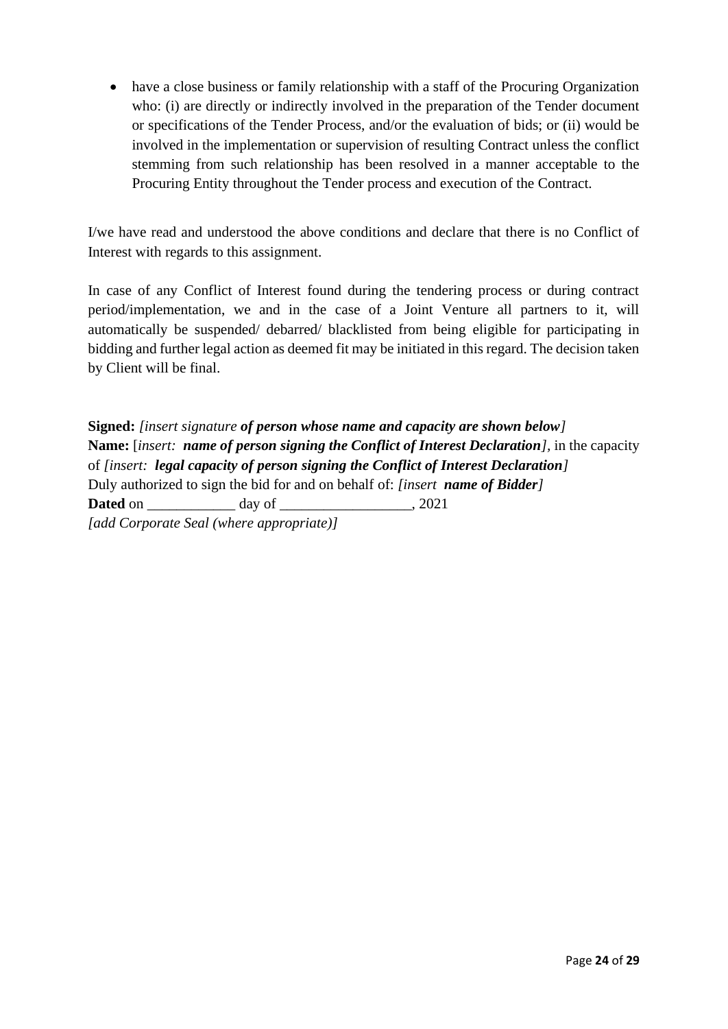• have a close business or family relationship with a staff of the Procuring Organization who: (i) are directly or indirectly involved in the preparation of the Tender document or specifications of the Tender Process, and/or the evaluation of bids; or (ii) would be involved in the implementation or supervision of resulting Contract unless the conflict stemming from such relationship has been resolved in a manner acceptable to the Procuring Entity throughout the Tender process and execution of the Contract.

I/we have read and understood the above conditions and declare that there is no Conflict of Interest with regards to this assignment.

In case of any Conflict of Interest found during the tendering process or during contract period/implementation, we and in the case of a Joint Venture all partners to it, will automatically be suspended/ debarred/ blacklisted from being eligible for participating in bidding and further legal action as deemed fit may be initiated in this regard. The decision taken by Client will be final.

**Signed:** *[insert signature of person whose name and capacity are shown below]* **Name:** [*insert: name of person signing the Conflict of Interest Declaration],* in the capacity of *[insert: legal capacity of person signing the Conflict of Interest Declaration]* Duly authorized to sign the bid for and on behalf of: *[insert name of Bidder]* **Dated** on day of 2021 *[add Corporate Seal (where appropriate)]*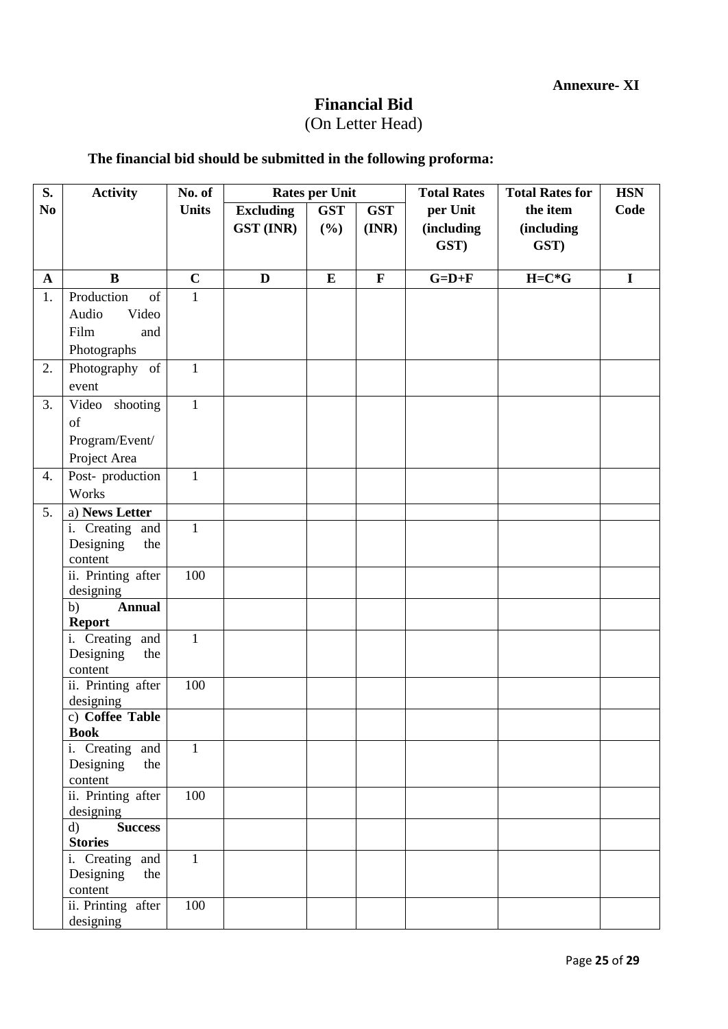# **Financial Bid**

# (On Letter Head)

# **The financial bid should be submitted in the following proforma:**

| S.                 | <b>Activity</b>                  | No. of       | <b>Rates per Unit</b> |            |                  | <b>Total Rates</b> | <b>Total Rates for</b> | <b>HSN</b>  |
|--------------------|----------------------------------|--------------|-----------------------|------------|------------------|--------------------|------------------------|-------------|
| N <sub>0</sub>     |                                  | <b>Units</b> | <b>Excluding</b>      | <b>GST</b> | <b>GST</b>       | per Unit           | the item               | Code        |
|                    |                                  |              | <b>GST (INR)</b>      | (%)        | $(\mathbf{INR})$ | <i>(including</i>  | (including             |             |
|                    |                                  |              |                       |            |                  | GST)               | GST)                   |             |
|                    | $\bf{B}$                         | $\mathbf C$  | $\mathbf{D}$          | $\bf{E}$   | $\mathbf F$      | $G=D+F$            | $H=C*G$                | $\mathbf I$ |
| $\mathbf{A}$<br>1. | Production<br>of                 | $\mathbf{1}$ |                       |            |                  |                    |                        |             |
|                    | Video                            |              |                       |            |                  |                    |                        |             |
|                    | Audio                            |              |                       |            |                  |                    |                        |             |
|                    | Film<br>and                      |              |                       |            |                  |                    |                        |             |
|                    | Photographs                      |              |                       |            |                  |                    |                        |             |
| 2.                 | Photography of                   | $\mathbf{1}$ |                       |            |                  |                    |                        |             |
|                    | event                            |              |                       |            |                  |                    |                        |             |
| 3.                 | Video shooting                   | $\mathbf{1}$ |                       |            |                  |                    |                        |             |
|                    | of                               |              |                       |            |                  |                    |                        |             |
|                    | Program/Event/                   |              |                       |            |                  |                    |                        |             |
|                    | Project Area                     |              |                       |            |                  |                    |                        |             |
| 4.                 | Post-production                  | $\mathbf{1}$ |                       |            |                  |                    |                        |             |
|                    | Works                            |              |                       |            |                  |                    |                        |             |
| 5.                 | a) News Letter                   |              |                       |            |                  |                    |                        |             |
|                    | i. Creating and                  | $\mathbf{1}$ |                       |            |                  |                    |                        |             |
|                    | Designing<br>the                 |              |                       |            |                  |                    |                        |             |
|                    | content                          |              |                       |            |                  |                    |                        |             |
|                    | ii. Printing after               | 100          |                       |            |                  |                    |                        |             |
|                    | designing<br><b>Annual</b><br>b) |              |                       |            |                  |                    |                        |             |
|                    | <b>Report</b>                    |              |                       |            |                  |                    |                        |             |
|                    | i. Creating and                  | $\mathbf{1}$ |                       |            |                  |                    |                        |             |
|                    | Designing<br>the                 |              |                       |            |                  |                    |                        |             |
|                    | content                          |              |                       |            |                  |                    |                        |             |
|                    | ii. Printing after               | 100          |                       |            |                  |                    |                        |             |
|                    | designing                        |              |                       |            |                  |                    |                        |             |
|                    | c) Coffee Table<br><b>Book</b>   |              |                       |            |                  |                    |                        |             |
|                    | i. Creating and                  | $\mathbf{1}$ |                       |            |                  |                    |                        |             |
|                    | Designing<br>the                 |              |                       |            |                  |                    |                        |             |
|                    | content                          |              |                       |            |                  |                    |                        |             |
|                    | ii. Printing after               | 100          |                       |            |                  |                    |                        |             |
|                    | designing                        |              |                       |            |                  |                    |                        |             |
|                    | <b>Success</b><br>$\mathbf{d}$   |              |                       |            |                  |                    |                        |             |
|                    | <b>Stories</b>                   |              |                       |            |                  |                    |                        |             |
|                    | i. Creating and                  | $\mathbf{1}$ |                       |            |                  |                    |                        |             |
|                    | Designing<br>the                 |              |                       |            |                  |                    |                        |             |
|                    | content                          | 100          |                       |            |                  |                    |                        |             |
|                    | ii. Printing after<br>designing  |              |                       |            |                  |                    |                        |             |
|                    |                                  |              |                       |            |                  |                    |                        |             |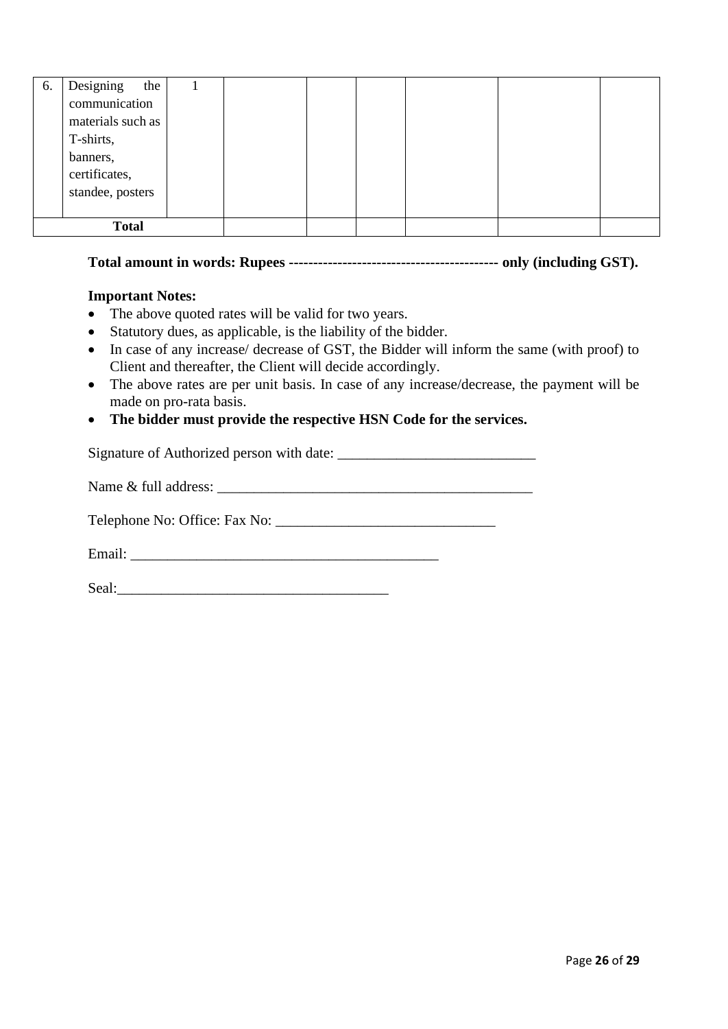| 6.           | Designing<br>the  |  |  |  |  |
|--------------|-------------------|--|--|--|--|
|              | communication     |  |  |  |  |
|              | materials such as |  |  |  |  |
|              | T-shirts,         |  |  |  |  |
|              | banners,          |  |  |  |  |
|              | certificates,     |  |  |  |  |
|              | standee, posters  |  |  |  |  |
|              |                   |  |  |  |  |
| <b>Total</b> |                   |  |  |  |  |

# **Total amount in words: Rupees ------------------------------------------- only (including GST).**

### **Important Notes:**

- The above quoted rates will be valid for two years.
- Statutory dues, as applicable, is the liability of the bidder.
- In case of any increase/ decrease of GST, the Bidder will inform the same (with proof) to Client and thereafter, the Client will decide accordingly.
- The above rates are per unit basis. In case of any increase/decrease, the payment will be made on pro-rata basis.
- **The bidder must provide the respective HSN Code for the services.**

Signature of Authorized person with date: \_\_\_\_\_\_\_\_\_\_\_\_\_\_\_\_\_\_\_\_\_\_\_\_\_\_\_

Name & full address:

Telephone No: Office: Fax No: \_\_\_\_\_\_\_\_\_\_\_\_\_\_\_\_\_\_\_\_\_\_\_\_\_\_\_\_\_\_

Email: \_\_\_\_\_\_\_\_\_\_\_\_\_\_\_\_\_\_\_\_\_\_\_\_\_\_\_\_\_\_\_\_\_\_\_\_\_\_\_\_\_\_

Seal:\_\_\_\_\_\_\_\_\_\_\_\_\_\_\_\_\_\_\_\_\_\_\_\_\_\_\_\_\_\_\_\_\_\_\_\_\_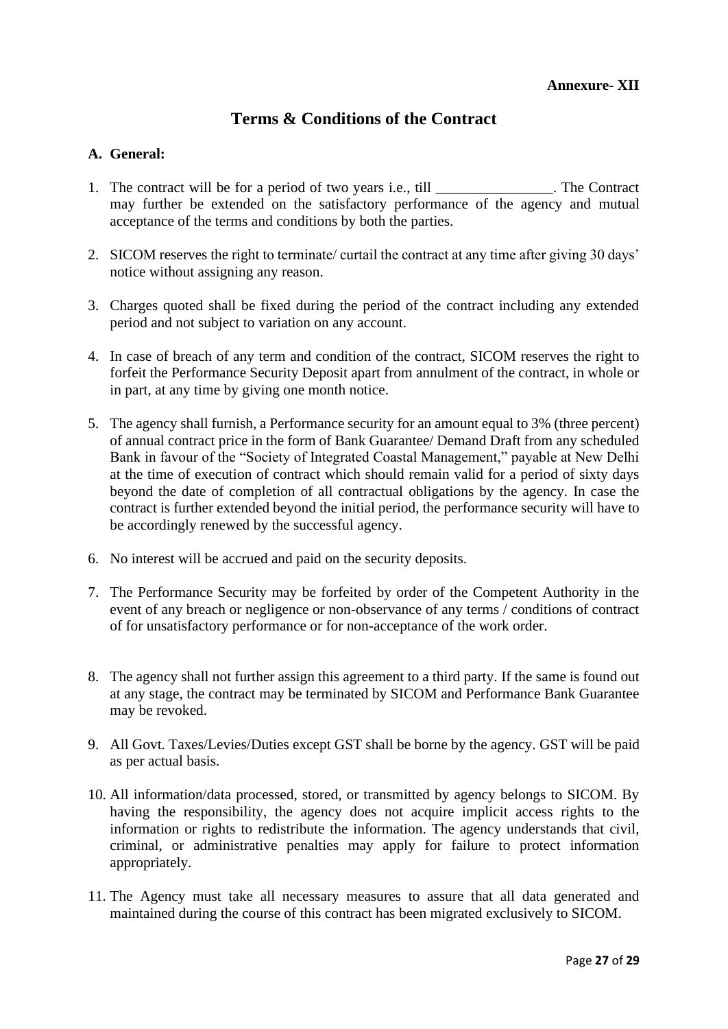# **Terms & Conditions of the Contract**

### **A. General:**

- 1. The contract will be for a period of two years i.e., till The Contract may further be extended on the satisfactory performance of the agency and mutual acceptance of the terms and conditions by both the parties.
- 2. SICOM reserves the right to terminate/ curtail the contract at any time after giving 30 days' notice without assigning any reason.
- 3. Charges quoted shall be fixed during the period of the contract including any extended period and not subject to variation on any account.
- 4. In case of breach of any term and condition of the contract, SICOM reserves the right to forfeit the Performance Security Deposit apart from annulment of the contract, in whole or in part, at any time by giving one month notice.
- 5. The agency shall furnish, a Performance security for an amount equal to 3% (three percent) of annual contract price in the form of Bank Guarantee/ Demand Draft from any scheduled Bank in favour of the "Society of Integrated Coastal Management," payable at New Delhi at the time of execution of contract which should remain valid for a period of sixty days beyond the date of completion of all contractual obligations by the agency. In case the contract is further extended beyond the initial period, the performance security will have to be accordingly renewed by the successful agency.
- 6. No interest will be accrued and paid on the security deposits.
- 7. The Performance Security may be forfeited by order of the Competent Authority in the event of any breach or negligence or non-observance of any terms / conditions of contract of for unsatisfactory performance or for non-acceptance of the work order.
- 8. The agency shall not further assign this agreement to a third party. If the same is found out at any stage, the contract may be terminated by SICOM and Performance Bank Guarantee may be revoked.
- 9. All Govt. Taxes/Levies/Duties except GST shall be borne by the agency. GST will be paid as per actual basis.
- 10. All information/data processed, stored, or transmitted by agency belongs to SICOM. By having the responsibility, the agency does not acquire implicit access rights to the information or rights to redistribute the information. The agency understands that civil, criminal, or administrative penalties may apply for failure to protect information appropriately.
- 11. The Agency must take all necessary measures to assure that all data generated and maintained during the course of this contract has been migrated exclusively to SICOM.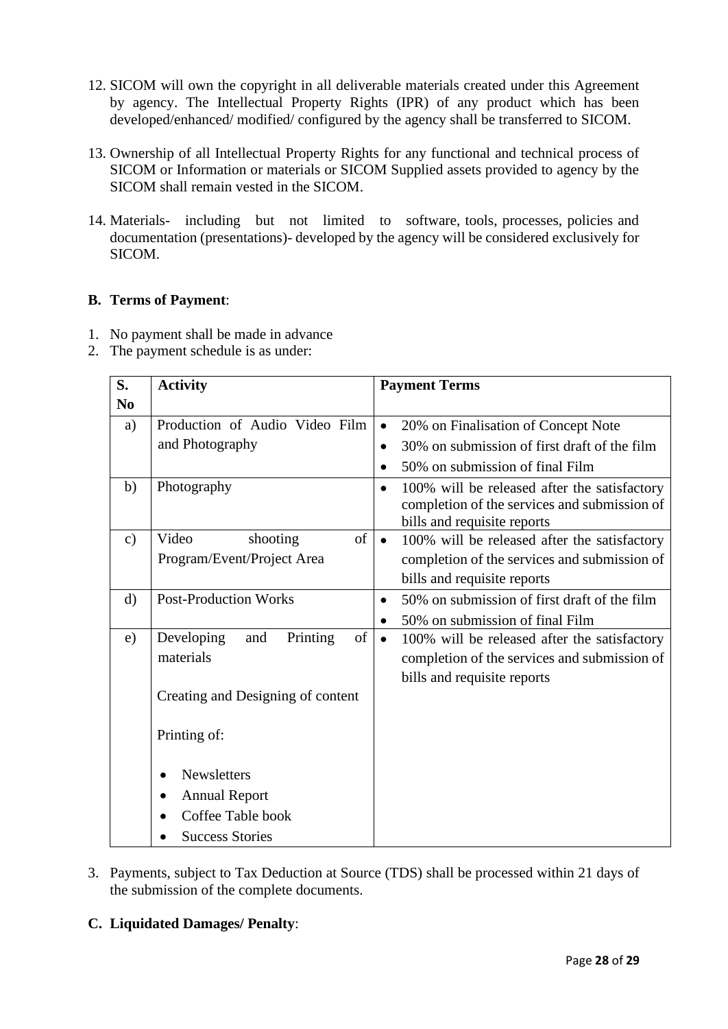- 12. SICOM will own the copyright in all deliverable materials created under this Agreement by agency. The Intellectual Property Rights (IPR) of any product which has been developed/enhanced/ modified/ configured by the agency shall be transferred to SICOM.
- 13. Ownership of all Intellectual Property Rights for any functional and technical process of SICOM or Information or materials or SICOM Supplied assets provided to agency by the SICOM shall remain vested in the SICOM.
- 14. Materials- including but not limited to software, tools, processes, policies and documentation (presentations)- developed by the agency will be considered exclusively for SICOM.

# **B. Terms of Payment**:

- 1. No payment shall be made in advance
- 2. The payment schedule is as under:

| S.             | <b>Activity</b>                     | <b>Payment Terms</b>                                                                                                                     |  |  |  |
|----------------|-------------------------------------|------------------------------------------------------------------------------------------------------------------------------------------|--|--|--|
| N <sub>0</sub> |                                     |                                                                                                                                          |  |  |  |
| a)             | Production of Audio Video Film      | 20% on Finalisation of Concept Note<br>$\bullet$                                                                                         |  |  |  |
|                | and Photography                     | 30% on submission of first draft of the film<br>$\bullet$                                                                                |  |  |  |
|                |                                     | 50% on submission of final Film<br>$\bullet$                                                                                             |  |  |  |
| b)             | Photography                         | 100% will be released after the satisfactory<br>$\bullet$<br>completion of the services and submission of<br>bills and requisite reports |  |  |  |
| $\mathbf{c})$  | of<br>Video<br>shooting             | 100% will be released after the satisfactory<br>$\bullet$                                                                                |  |  |  |
|                | Program/Event/Project Area          | completion of the services and submission of                                                                                             |  |  |  |
|                |                                     | bills and requisite reports                                                                                                              |  |  |  |
| $\rm d$        | <b>Post-Production Works</b>        | 50% on submission of first draft of the film<br>$\bullet$                                                                                |  |  |  |
|                |                                     | 50% on submission of final Film<br>$\bullet$                                                                                             |  |  |  |
| e)             | Developing<br>Printing<br>of<br>and | 100% will be released after the satisfactory<br>$\bullet$                                                                                |  |  |  |
|                | materials                           | completion of the services and submission of                                                                                             |  |  |  |
|                |                                     | bills and requisite reports                                                                                                              |  |  |  |
|                | Creating and Designing of content   |                                                                                                                                          |  |  |  |
|                | Printing of:                        |                                                                                                                                          |  |  |  |
|                | <b>Newsletters</b>                  |                                                                                                                                          |  |  |  |
|                | <b>Annual Report</b><br>٠           |                                                                                                                                          |  |  |  |
|                | Coffee Table book                   |                                                                                                                                          |  |  |  |
|                | <b>Success Stories</b>              |                                                                                                                                          |  |  |  |

3. Payments, subject to Tax Deduction at Source (TDS) shall be processed within 21 days of the submission of the complete documents.

# **C. Liquidated Damages/ Penalty**: